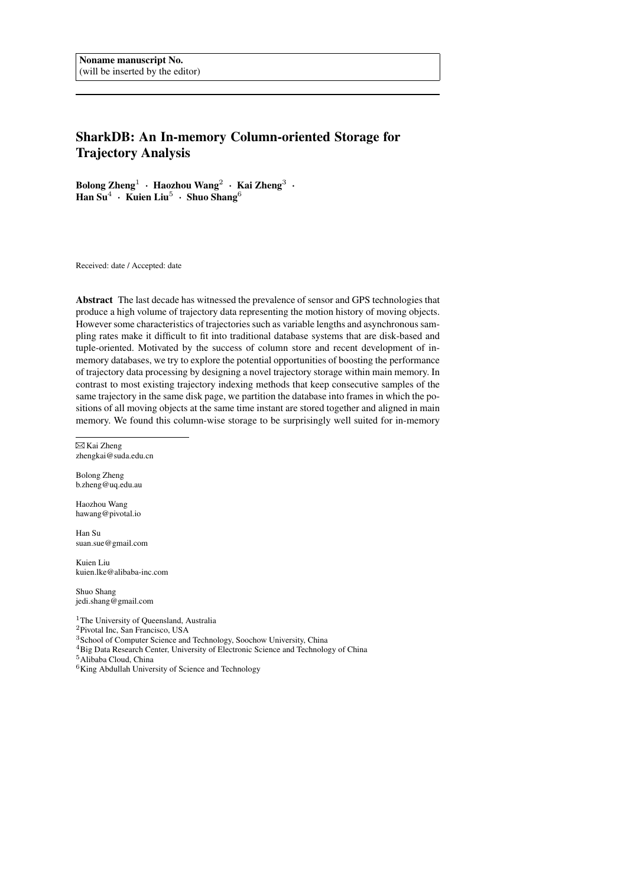# SharkDB: An In-memory Column-oriented Storage for Trajectory Analysis

Bolong Zheng $^1$  • Haozhou Wang $^2$  • Kai Zheng $^3$  • Han Su $^4$  • Kuien Liu $^5$  • Shuo Shang $^6$ 

Received: date / Accepted: date

Abstract The last decade has witnessed the prevalence of sensor and GPS technologies that produce a high volume of trajectory data representing the motion history of moving objects. However some characteristics of trajectories such as variable lengths and asynchronous sampling rates make it difficult to fit into traditional database systems that are disk-based and tuple-oriented. Motivated by the success of column store and recent development of inmemory databases, we try to explore the potential opportunities of boosting the performance of trajectory data processing by designing a novel trajectory storage within main memory. In contrast to most existing trajectory indexing methods that keep consecutive samples of the same trajectory in the same disk page, we partition the database into frames in which the positions of all moving objects at the same time instant are stored together and aligned in main memory. We found this column-wise storage to be surprisingly well suited for in-memory

**⊠Kai Zheng** zhengkai@suda.edu.cn

Bolong Zheng b.zheng@uq.edu.au

Haozhou Wang hawang@pivotal.io

Han Su suan.sue@gmail.com

Kuien Liu kuien.lke@alibaba-inc.com

Shuo Shang jedi.shang@gmail.com

<sup>1</sup>The University of Queensland, Australia <sup>2</sup>Pivotal Inc, San Francisco, USA <sup>3</sup>School of Computer Science and Technology, Soochow University, China <sup>4</sup>Big Data Research Center, University of Electronic Science and Technology of China <sup>5</sup>Alibaba Cloud, China  $^6$ King Abdullah University of Science and Technology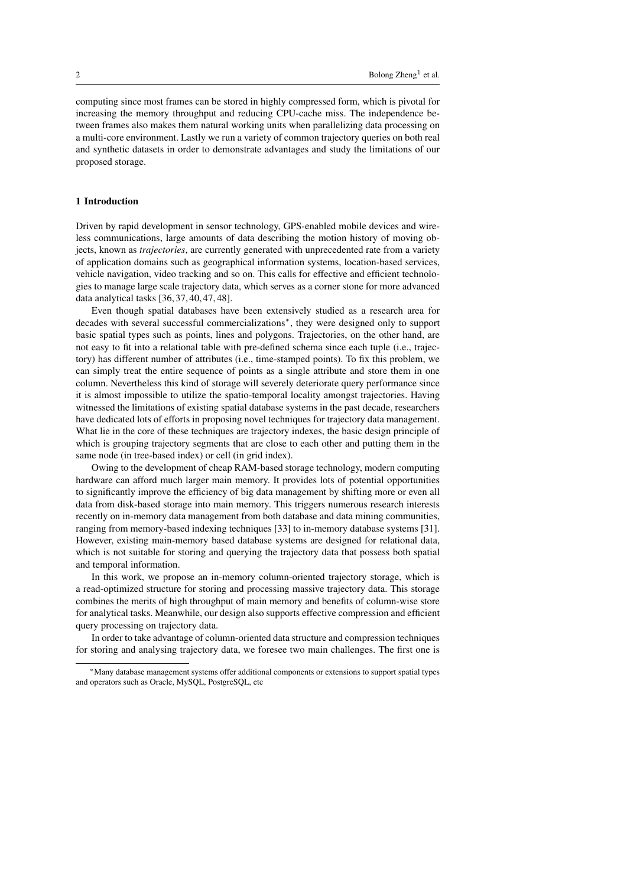computing since most frames can be stored in highly compressed form, which is pivotal for increasing the memory throughput and reducing CPU-cache miss. The independence between frames also makes them natural working units when parallelizing data processing on a multi-core environment. Lastly we run a variety of common trajectory queries on both real and synthetic datasets in order to demonstrate advantages and study the limitations of our proposed storage.

# 1 Introduction

Driven by rapid development in sensor technology, GPS-enabled mobile devices and wireless communications, large amounts of data describing the motion history of moving objects, known as *trajectories*, are currently generated with unprecedented rate from a variety of application domains such as geographical information systems, location-based services, vehicle navigation, video tracking and so on. This calls for effective and efficient technologies to manage large scale trajectory data, which serves as a corner stone for more advanced data analytical tasks [36, 37, 40, 47, 48].

Even though spatial databases have been extensively studied as a research area for decades with several successful commercializations<sup>∗</sup> , they were designed only to support basic spatial types such as points, lines and polygons. Trajectories, on the other hand, are not easy to fit into a relational table with pre-defined schema since each tuple (i.e., trajectory) has different number of attributes (i.e., time-stamped points). To fix this problem, we can simply treat the entire sequence of points as a single attribute and store them in one column. Nevertheless this kind of storage will severely deteriorate query performance since it is almost impossible to utilize the spatio-temporal locality amongst trajectories. Having witnessed the limitations of existing spatial database systems in the past decade, researchers have dedicated lots of efforts in proposing novel techniques for trajectory data management. What lie in the core of these techniques are trajectory indexes, the basic design principle of which is grouping trajectory segments that are close to each other and putting them in the same node (in tree-based index) or cell (in grid index).

Owing to the development of cheap RAM-based storage technology, modern computing hardware can afford much larger main memory. It provides lots of potential opportunities to significantly improve the efficiency of big data management by shifting more or even all data from disk-based storage into main memory. This triggers numerous research interests recently on in-memory data management from both database and data mining communities, ranging from memory-based indexing techniques [33] to in-memory database systems [31]. However, existing main-memory based database systems are designed for relational data, which is not suitable for storing and querying the trajectory data that possess both spatial and temporal information.

In this work, we propose an in-memory column-oriented trajectory storage, which is a read-optimized structure for storing and processing massive trajectory data. This storage combines the merits of high throughput of main memory and benefits of column-wise store for analytical tasks. Meanwhile, our design also supports effective compression and efficient query processing on trajectory data.

In order to take advantage of column-oriented data structure and compression techniques for storing and analysing trajectory data, we foresee two main challenges. The first one is

<sup>∗</sup>Many database management systems offer additional components or extensions to support spatial types and operators such as Oracle, MySQL, PostgreSQL, etc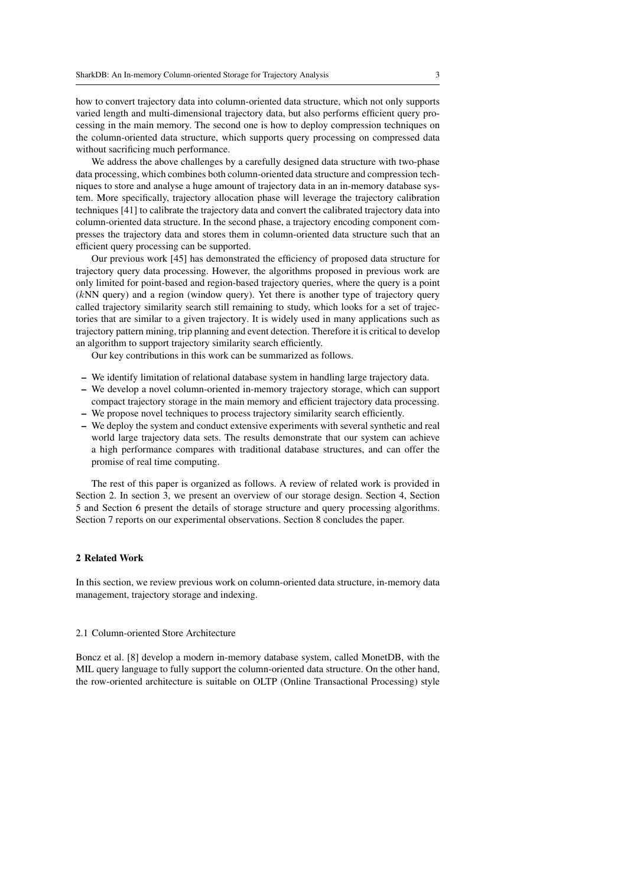how to convert trajectory data into column-oriented data structure, which not only supports varied length and multi-dimensional trajectory data, but also performs efficient query processing in the main memory. The second one is how to deploy compression techniques on the column-oriented data structure, which supports query processing on compressed data without sacrificing much performance.

We address the above challenges by a carefully designed data structure with two-phase data processing, which combines both column-oriented data structure and compression techniques to store and analyse a huge amount of trajectory data in an in-memory database system. More specifically, trajectory allocation phase will leverage the trajectory calibration techniques [41] to calibrate the trajectory data and convert the calibrated trajectory data into column-oriented data structure. In the second phase, a trajectory encoding component compresses the trajectory data and stores them in column-oriented data structure such that an efficient query processing can be supported.

Our previous work [45] has demonstrated the efficiency of proposed data structure for trajectory query data processing. However, the algorithms proposed in previous work are only limited for point-based and region-based trajectory queries, where the query is a point (kNN query) and a region (window query). Yet there is another type of trajectory query called trajectory similarity search still remaining to study, which looks for a set of trajectories that are similar to a given trajectory. It is widely used in many applications such as trajectory pattern mining, trip planning and event detection. Therefore it is critical to develop an algorithm to support trajectory similarity search efficiently.

Our key contributions in this work can be summarized as follows.

- We identify limitation of relational database system in handling large trajectory data.
- We develop a novel column-oriented in-memory trajectory storage, which can support compact trajectory storage in the main memory and efficient trajectory data processing.
- We propose novel techniques to process trajectory similarity search efficiently.
- We deploy the system and conduct extensive experiments with several synthetic and real world large trajectory data sets. The results demonstrate that our system can achieve a high performance compares with traditional database structures, and can offer the promise of real time computing.

The rest of this paper is organized as follows. A review of related work is provided in Section 2. In section 3, we present an overview of our storage design. Section 4, Section 5 and Section 6 present the details of storage structure and query processing algorithms. Section 7 reports on our experimental observations. Section 8 concludes the paper.

## 2 Related Work

In this section, we review previous work on column-oriented data structure, in-memory data management, trajectory storage and indexing.

### 2.1 Column-oriented Store Architecture

Boncz et al. [8] develop a modern in-memory database system, called MonetDB, with the MIL query language to fully support the column-oriented data structure. On the other hand, the row-oriented architecture is suitable on OLTP (Online Transactional Processing) style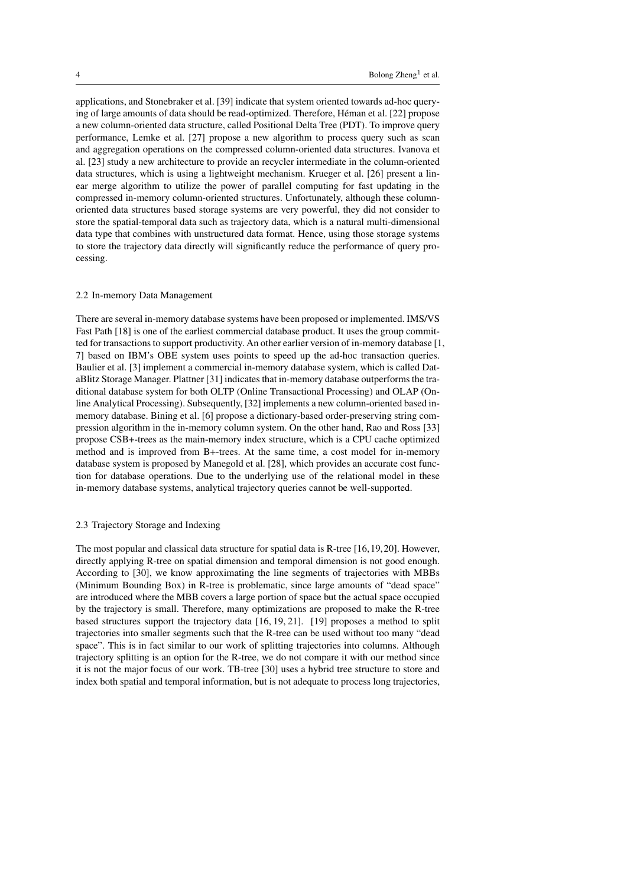applications, and Stonebraker et al. [39] indicate that system oriented towards ad-hoc querying of large amounts of data should be read-optimized. Therefore, Héman et al. [22] propose a new column-oriented data structure, called Positional Delta Tree (PDT). To improve query performance, Lemke et al. [27] propose a new algorithm to process query such as scan and aggregation operations on the compressed column-oriented data structures. Ivanova et al. [23] study a new architecture to provide an recycler intermediate in the column-oriented data structures, which is using a lightweight mechanism. Krueger et al. [26] present a linear merge algorithm to utilize the power of parallel computing for fast updating in the compressed in-memory column-oriented structures. Unfortunately, although these columnoriented data structures based storage systems are very powerful, they did not consider to store the spatial-temporal data such as trajectory data, which is a natural multi-dimensional data type that combines with unstructured data format. Hence, using those storage systems to store the trajectory data directly will significantly reduce the performance of query processing.

### 2.2 In-memory Data Management

There are several in-memory database systems have been proposed or implemented. IMS/VS Fast Path [18] is one of the earliest commercial database product. It uses the group committed for transactions to support productivity. An other earlier version of in-memory database [1, 7] based on IBM's OBE system uses points to speed up the ad-hoc transaction queries. Baulier et al. [3] implement a commercial in-memory database system, which is called DataBlitz Storage Manager. Plattner [31] indicates that in-memory database outperforms the traditional database system for both OLTP (Online Transactional Processing) and OLAP (Online Analytical Processing). Subsequently, [32] implements a new column-oriented based inmemory database. Bining et al. [6] propose a dictionary-based order-preserving string compression algorithm in the in-memory column system. On the other hand, Rao and Ross [33] propose CSB+-trees as the main-memory index structure, which is a CPU cache optimized method and is improved from B+-trees. At the same time, a cost model for in-memory database system is proposed by Manegold et al. [28], which provides an accurate cost function for database operations. Due to the underlying use of the relational model in these in-memory database systems, analytical trajectory queries cannot be well-supported.

### 2.3 Trajectory Storage and Indexing

The most popular and classical data structure for spatial data is R-tree [16,19,20]. However, directly applying R-tree on spatial dimension and temporal dimension is not good enough. According to [30], we know approximating the line segments of trajectories with MBBs (Minimum Bounding Box) in R-tree is problematic, since large amounts of "dead space" are introduced where the MBB covers a large portion of space but the actual space occupied by the trajectory is small. Therefore, many optimizations are proposed to make the R-tree based structures support the trajectory data [16, 19, 21]. [19] proposes a method to split trajectories into smaller segments such that the R-tree can be used without too many "dead space". This is in fact similar to our work of splitting trajectories into columns. Although trajectory splitting is an option for the R-tree, we do not compare it with our method since it is not the major focus of our work. TB-tree [30] uses a hybrid tree structure to store and index both spatial and temporal information, but is not adequate to process long trajectories,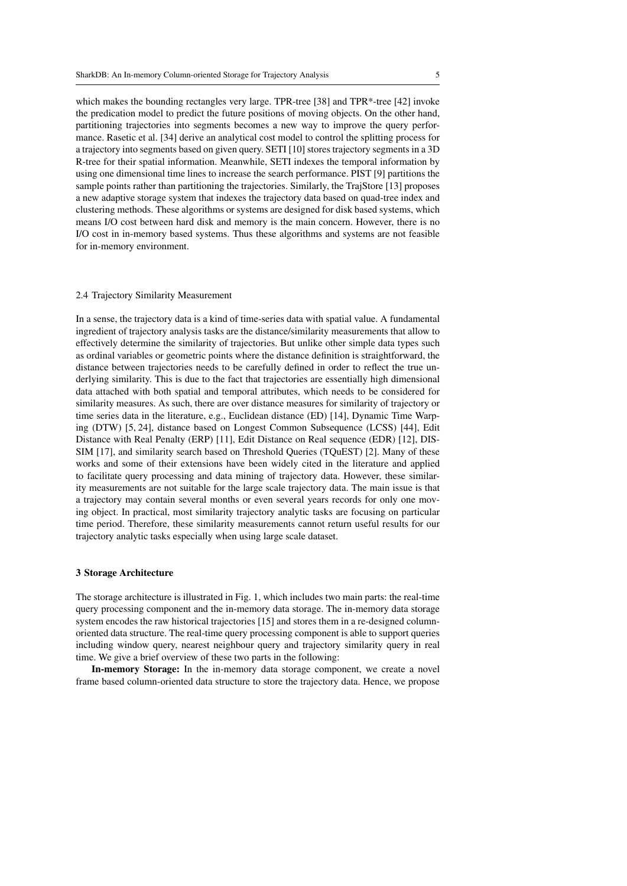which makes the bounding rectangles very large. TPR-tree [38] and TPR\*-tree [42] invoke the predication model to predict the future positions of moving objects. On the other hand, partitioning trajectories into segments becomes a new way to improve the query performance. Rasetic et al. [34] derive an analytical cost model to control the splitting process for a trajectory into segments based on given query. SETI [10] stores trajectory segments in a 3D R-tree for their spatial information. Meanwhile, SETI indexes the temporal information by using one dimensional time lines to increase the search performance. PIST [9] partitions the sample points rather than partitioning the trajectories. Similarly, the TrajStore [13] proposes a new adaptive storage system that indexes the trajectory data based on quad-tree index and clustering methods. These algorithms or systems are designed for disk based systems, which means I/O cost between hard disk and memory is the main concern. However, there is no I/O cost in in-memory based systems. Thus these algorithms and systems are not feasible for in-memory environment.

### 2.4 Trajectory Similarity Measurement

In a sense, the trajectory data is a kind of time-series data with spatial value. A fundamental ingredient of trajectory analysis tasks are the distance/similarity measurements that allow to effectively determine the similarity of trajectories. But unlike other simple data types such as ordinal variables or geometric points where the distance definition is straightforward, the distance between trajectories needs to be carefully defined in order to reflect the true underlying similarity. This is due to the fact that trajectories are essentially high dimensional data attached with both spatial and temporal attributes, which needs to be considered for similarity measures. As such, there are over distance measures for similarity of trajectory or time series data in the literature, e.g., Euclidean distance (ED) [14], Dynamic Time Warping (DTW) [5, 24], distance based on Longest Common Subsequence (LCSS) [44], Edit Distance with Real Penalty (ERP) [11], Edit Distance on Real sequence (EDR) [12], DIS-SIM [17], and similarity search based on Threshold Queries (TQuEST) [2]. Many of these works and some of their extensions have been widely cited in the literature and applied to facilitate query processing and data mining of trajectory data. However, these similarity measurements are not suitable for the large scale trajectory data. The main issue is that a trajectory may contain several months or even several years records for only one moving object. In practical, most similarity trajectory analytic tasks are focusing on particular time period. Therefore, these similarity measurements cannot return useful results for our trajectory analytic tasks especially when using large scale dataset.

### 3 Storage Architecture

The storage architecture is illustrated in Fig. 1, which includes two main parts: the real-time query processing component and the in-memory data storage. The in-memory data storage system encodes the raw historical trajectories [15] and stores them in a re-designed columnoriented data structure. The real-time query processing component is able to support queries including window query, nearest neighbour query and trajectory similarity query in real time. We give a brief overview of these two parts in the following:

In-memory Storage: In the in-memory data storage component, we create a novel frame based column-oriented data structure to store the trajectory data. Hence, we propose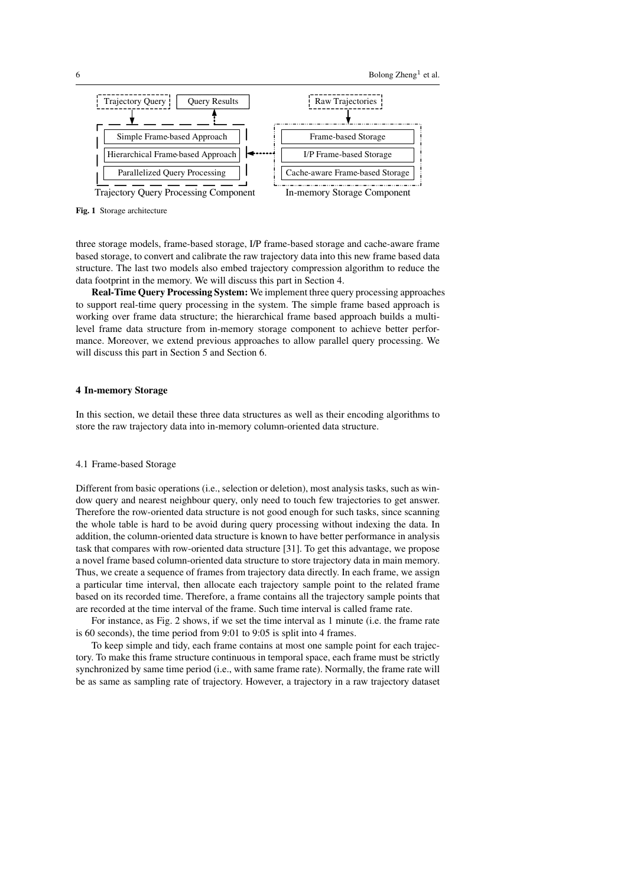

Fig. 1 Storage architecture

three storage models, frame-based storage, I/P frame-based storage and cache-aware frame based storage, to convert and calibrate the raw trajectory data into this new frame based data structure. The last two models also embed trajectory compression algorithm to reduce the data footprint in the memory. We will discuss this part in Section 4.

Real-Time Query Processing System: We implement three query processing approaches to support real-time query processing in the system. The simple frame based approach is working over frame data structure; the hierarchical frame based approach builds a multilevel frame data structure from in-memory storage component to achieve better performance. Moreover, we extend previous approaches to allow parallel query processing. We will discuss this part in Section 5 and Section 6.

### 4 In-memory Storage

In this section, we detail these three data structures as well as their encoding algorithms to store the raw trajectory data into in-memory column-oriented data structure.

#### 4.1 Frame-based Storage

Different from basic operations (i.e., selection or deletion), most analysis tasks, such as window query and nearest neighbour query, only need to touch few trajectories to get answer. Therefore the row-oriented data structure is not good enough for such tasks, since scanning the whole table is hard to be avoid during query processing without indexing the data. In addition, the column-oriented data structure is known to have better performance in analysis task that compares with row-oriented data structure [31]. To get this advantage, we propose a novel frame based column-oriented data structure to store trajectory data in main memory. Thus, we create a sequence of frames from trajectory data directly. In each frame, we assign a particular time interval, then allocate each trajectory sample point to the related frame based on its recorded time. Therefore, a frame contains all the trajectory sample points that are recorded at the time interval of the frame. Such time interval is called frame rate.

For instance, as Fig. 2 shows, if we set the time interval as 1 minute (i.e. the frame rate is 60 seconds), the time period from 9:01 to 9:05 is split into 4 frames.

To keep simple and tidy, each frame contains at most one sample point for each trajectory. To make this frame structure continuous in temporal space, each frame must be strictly synchronized by same time period (i.e., with same frame rate). Normally, the frame rate will be as same as sampling rate of trajectory. However, a trajectory in a raw trajectory dataset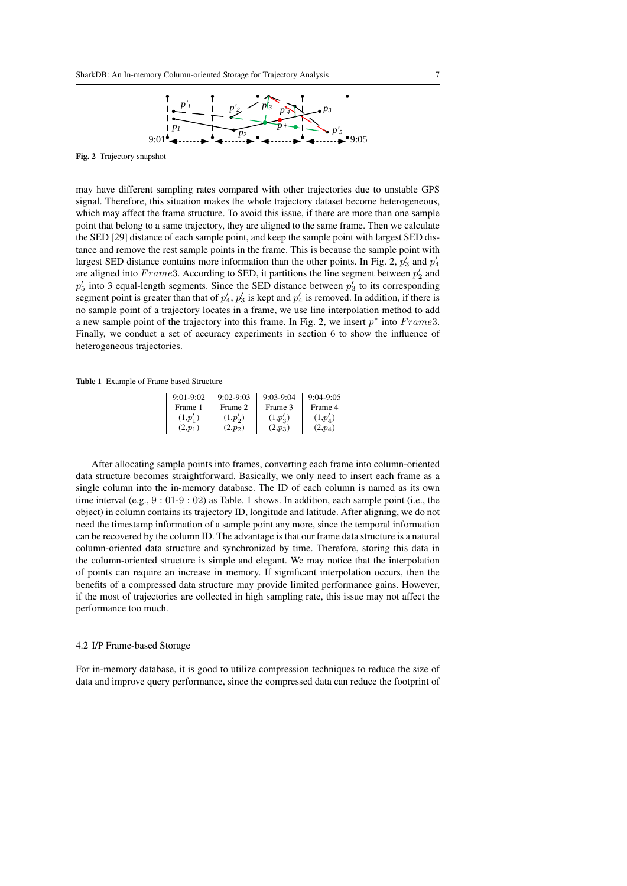

Fig. 2 Trajectory snapshot

may have different sampling rates compared with other trajectories due to unstable GPS signal. Therefore, this situation makes the whole trajectory dataset become heterogeneous, which may affect the frame structure. To avoid this issue, if there are more than one sample point that belong to a same trajectory, they are aligned to the same frame. Then we calculate the SED [29] distance of each sample point, and keep the sample point with largest SED distance and remove the rest sample points in the frame. This is because the sample point with largest SED distance contains more information than the other points. In Fig. 2,  $p'_3$  and  $p'_4$ are aligned into  $Frame3$ . According to SED, it partitions the line segment between  $p'_2$  and  $p'_5$  into 3 equal-length segments. Since the SED distance between  $p'_3$  to its corresponding segment point is greater than that of  $p'_4$ ,  $p'_3$  is kept and  $p'_4$  is removed. In addition, if there is no sample point of a trajectory locates in a frame, we use line interpolation method to add a new sample point of the trajectory into this frame. In Fig. 2, we insert  $p^*$  into  $Frame3$ . Finally, we conduct a set of accuracy experiments in section 6 to show the influence of heterogeneous trajectories.

Table 1 Example of Frame based Structure

| $9:01-9:02$ | $9:02 - 9:03$ | $9:03-9:04$ | $9:04-9:05$ |
|-------------|---------------|-------------|-------------|
| Frame 1     | Frame 2       | Frame 3     | Frame 4     |
| (1,p)       | $1.p'_2$      | $1.p'_{2}$  | (1,p)       |
|             | $2, p_2$ )    | $(p_3)$     | $2, p_4$    |

After allocating sample points into frames, converting each frame into column-oriented data structure becomes straightforward. Basically, we only need to insert each frame as a single column into the in-memory database. The ID of each column is named as its own time interval (e.g., 9 : 01-9 : 02) as Table. 1 shows. In addition, each sample point (i.e., the object) in column contains its trajectory ID, longitude and latitude. After aligning, we do not need the timestamp information of a sample point any more, since the temporal information can be recovered by the column ID. The advantage is that our frame data structure is a natural column-oriented data structure and synchronized by time. Therefore, storing this data in the column-oriented structure is simple and elegant. We may notice that the interpolation of points can require an increase in memory. If significant interpolation occurs, then the benefits of a compressed data structure may provide limited performance gains. However, if the most of trajectories are collected in high sampling rate, this issue may not affect the performance too much.

#### 4.2 I/P Frame-based Storage

For in-memory database, it is good to utilize compression techniques to reduce the size of data and improve query performance, since the compressed data can reduce the footprint of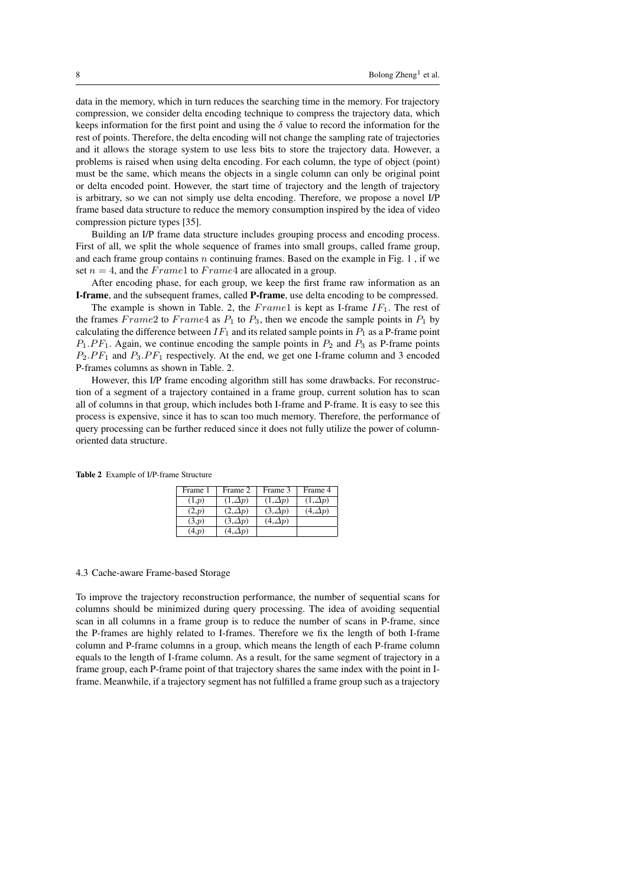data in the memory, which in turn reduces the searching time in the memory. For trajectory compression, we consider delta encoding technique to compress the trajectory data, which keeps information for the first point and using the  $\delta$  value to record the information for the rest of points. Therefore, the delta encoding will not change the sampling rate of trajectories and it allows the storage system to use less bits to store the trajectory data. However, a problems is raised when using delta encoding. For each column, the type of object (point) must be the same, which means the objects in a single column can only be original point or delta encoded point. However, the start time of trajectory and the length of trajectory is arbitrary, so we can not simply use delta encoding. Therefore, we propose a novel I/P frame based data structure to reduce the memory consumption inspired by the idea of video compression picture types [35].

Building an I/P frame data structure includes grouping process and encoding process. First of all, we split the whole sequence of frames into small groups, called frame group, and each frame group contains  $n$  continuing frames. Based on the example in Fig. 1, if we set  $n = 4$ , and the *Framel* to *Frame4* are allocated in a group.

After encoding phase, for each group, we keep the first frame raw information as an I-frame, and the subsequent frames, called **P-frame**, use delta encoding to be compressed.

The example is shown in Table. 2, the  $Frame1$  is kept as I-frame  $IF_1$ . The rest of the frames  $Frame2$  to  $Frame4$  as  $P_1$  to  $P_3$ , then we encode the sample points in  $P_1$  by calculating the difference between  $IF_1$  and its related sample points in  $P_1$  as a P-frame point  $P_1.PF_1$ . Again, we continue encoding the sample points in  $P_2$  and  $P_3$  as P-frame points  $P_2.PF_1$  and  $P_3.PF_1$  respectively. At the end, we get one I-frame column and 3 encoded P-frames columns as shown in Table. 2.

However, this I/P frame encoding algorithm still has some drawbacks. For reconstruction of a segment of a trajectory contained in a frame group, current solution has to scan all of columns in that group, which includes both I-frame and P-frame. It is easy to see this process is expensive, since it has to scan too much memory. Therefore, the performance of query processing can be further reduced since it does not fully utilize the power of columnoriented data structure.

| Frame 1 | Frame 2         | Frame 3         | Frame 4        |
|---------|-----------------|-----------------|----------------|
| (1,p)   | $(1,\Delta p)$  | $(1,\Delta p)$  | $(1,\Delta p)$ |
| (2,p)   | $(2,\Delta p)$  | $(3, \Delta p)$ | $(4,\Delta p)$ |
| (3,p)   | $(3, \Delta p)$ | $(4,\Delta p)$  |                |
| (4,p)   | $(4. \Delta p)$ |                 |                |

Table 2 Example of I/P-frame Structure

### 4.3 Cache-aware Frame-based Storage

To improve the trajectory reconstruction performance, the number of sequential scans for columns should be minimized during query processing. The idea of avoiding sequential scan in all columns in a frame group is to reduce the number of scans in P-frame, since the P-frames are highly related to I-frames. Therefore we fix the length of both I-frame column and P-frame columns in a group, which means the length of each P-frame column equals to the length of I-frame column. As a result, for the same segment of trajectory in a frame group, each P-frame point of that trajectory shares the same index with the point in Iframe. Meanwhile, if a trajectory segment has not fulfilled a frame group such as a trajectory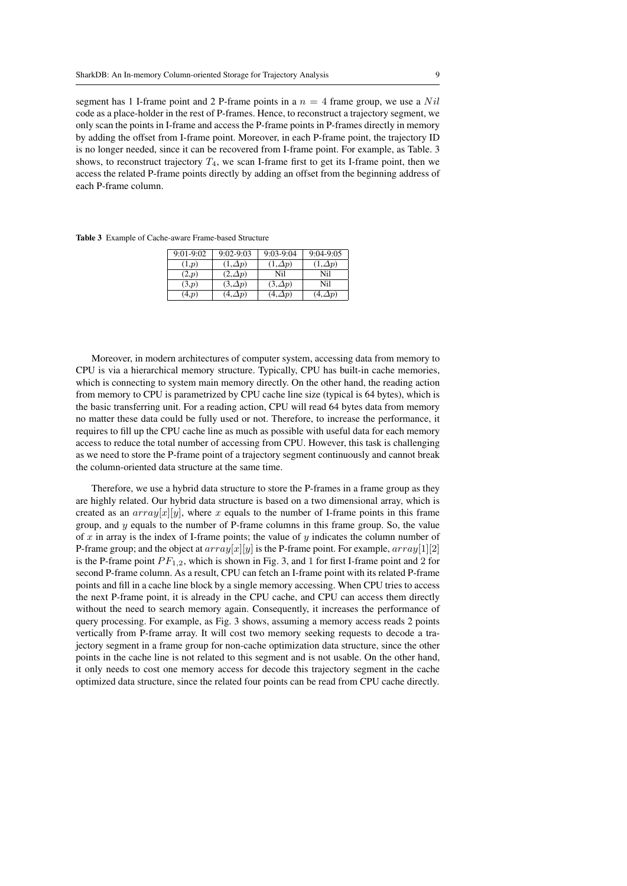segment has 1 I-frame point and 2 P-frame points in a  $n = 4$  frame group, we use a Nil code as a place-holder in the rest of P-frames. Hence, to reconstruct a trajectory segment, we only scan the points in I-frame and access the P-frame points in P-frames directly in memory by adding the offset from I-frame point. Moreover, in each P-frame point, the trajectory ID is no longer needed, since it can be recovered from I-frame point. For example, as Table. 3 shows, to reconstruct trajectory  $T_4$ , we scan I-frame first to get its I-frame point, then we access the related P-frame points directly by adding an offset from the beginning address of each P-frame column.

Table 3 Example of Cache-aware Frame-based Structure

| $9:01-9:02$ | $9:02 - 9:03$   | $9:03-9:04$     | $9:04-9:05$    |
|-------------|-----------------|-----------------|----------------|
| (1,p)       | $(1,\Delta p)$  | $(1,\Delta p)$  | $(1,\Delta p)$ |
| (2,p)       | $(2,\Delta p)$  | Nil             | Nil            |
| (3,p)       | $(3,\Delta p)$  | $(3, \Delta p)$ | Nil            |
| (4,p)       | $(4, \Delta p)$ | $(4, \Delta p)$ | $\Delta p$     |

Moreover, in modern architectures of computer system, accessing data from memory to CPU is via a hierarchical memory structure. Typically, CPU has built-in cache memories, which is connecting to system main memory directly. On the other hand, the reading action from memory to CPU is parametrized by CPU cache line size (typical is 64 bytes), which is the basic transferring unit. For a reading action, CPU will read 64 bytes data from memory no matter these data could be fully used or not. Therefore, to increase the performance, it requires to fill up the CPU cache line as much as possible with useful data for each memory access to reduce the total number of accessing from CPU. However, this task is challenging as we need to store the P-frame point of a trajectory segment continuously and cannot break the column-oriented data structure at the same time.

Therefore, we use a hybrid data structure to store the P-frames in a frame group as they are highly related. Our hybrid data structure is based on a two dimensional array, which is created as an  $array[x][y]$ , where x equals to the number of I-frame points in this frame group, and  $y$  equals to the number of P-frame columns in this frame group. So, the value of x in array is the index of I-frame points; the value of  $y$  indicates the column number of P-frame group; and the object at  $array[x][y]$  is the P-frame point. For example,  $array[1][2]$ is the P-frame point  $PF_{1,2}$ , which is shown in Fig. 3, and 1 for first I-frame point and 2 for second P-frame column. As a result, CPU can fetch an I-frame point with its related P-frame points and fill in a cache line block by a single memory accessing. When CPU tries to access the next P-frame point, it is already in the CPU cache, and CPU can access them directly without the need to search memory again. Consequently, it increases the performance of query processing. For example, as Fig. 3 shows, assuming a memory access reads 2 points vertically from P-frame array. It will cost two memory seeking requests to decode a trajectory segment in a frame group for non-cache optimization data structure, since the other points in the cache line is not related to this segment and is not usable. On the other hand, it only needs to cost one memory access for decode this trajectory segment in the cache optimized data structure, since the related four points can be read from CPU cache directly.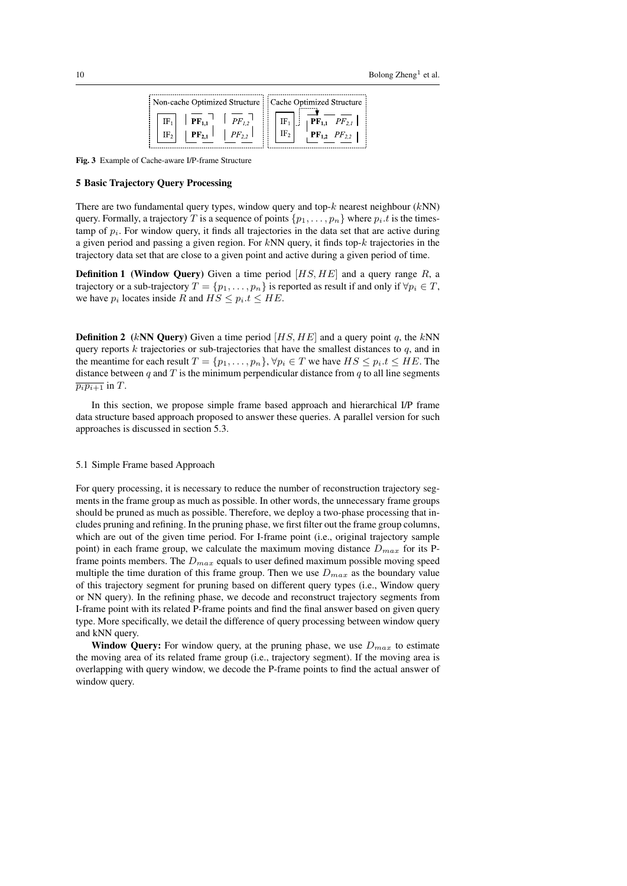| Non-cache Optimized Structure   Cache Optimized Structure |                       |
|-----------------------------------------------------------|-----------------------|
| $PF_{11}$                                                 | $PF_{1,1}$ $PF_{2,1}$ |
| $PF_2$ , $\vdash$<br>$PF_{21}$                            | $PF_{1,2}$ $PF_{2,2}$ |

Fig. 3 Example of Cache-aware I/P-frame Structure

#### 5 Basic Trajectory Query Processing

There are two fundamental query types, window query and top- $k$  nearest neighbour ( $kNN$ ) query. Formally, a trajectory T is a sequence of points  $\{p_1, \ldots, p_n\}$  where  $p_i \cdot t$  is the timestamp of  $p_i$ . For window query, it finds all trajectories in the data set that are active during a given period and passing a given region. For kNN query, it finds top-k trajectories in the trajectory data set that are close to a given point and active during a given period of time.

**Definition 1 (Window Ouery)** Given a time period  $[HS, HE]$  and a query range R, a trajectory or a sub-trajectory  $T = \{p_1, \ldots, p_n\}$  is reported as result if and only if  $\forall p_i \in T$ , we have  $p_i$  locates inside R and  $HS \leq p_i.t \leq HE$ .

**Definition 2** (kNN Query) Given a time period  $[HS, HE]$  and a query point q, the kNN query reports  $k$  trajectories or sub-trajectories that have the smallest distances to  $q$ , and in the meantime for each result  $T = \{p_1, \ldots, p_n\}$ ,  $\forall p_i \in T$  we have  $HS \leq p_i.t \leq HE$ . The distance between  $q$  and  $T$  is the minimum perpendicular distance from  $q$  to all line segments  $\overline{p_i p_{i+1}}$  in T.

In this section, we propose simple frame based approach and hierarchical I/P frame data structure based approach proposed to answer these queries. A parallel version for such approaches is discussed in section 5.3.

### 5.1 Simple Frame based Approach

For query processing, it is necessary to reduce the number of reconstruction trajectory segments in the frame group as much as possible. In other words, the unnecessary frame groups should be pruned as much as possible. Therefore, we deploy a two-phase processing that includes pruning and refining. In the pruning phase, we first filter out the frame group columns, which are out of the given time period. For I-frame point (i.e., original trajectory sample point) in each frame group, we calculate the maximum moving distance  $D_{max}$  for its Pframe points members. The  $D_{max}$  equals to user defined maximum possible moving speed multiple the time duration of this frame group. Then we use  $D_{max}$  as the boundary value of this trajectory segment for pruning based on different query types (i.e., Window query or NN query). In the refining phase, we decode and reconstruct trajectory segments from I-frame point with its related P-frame points and find the final answer based on given query type. More specifically, we detail the difference of query processing between window query and kNN query.

**Window Query:** For window query, at the pruning phase, we use  $D_{max}$  to estimate the moving area of its related frame group (i.e., trajectory segment). If the moving area is overlapping with query window, we decode the P-frame points to find the actual answer of window query.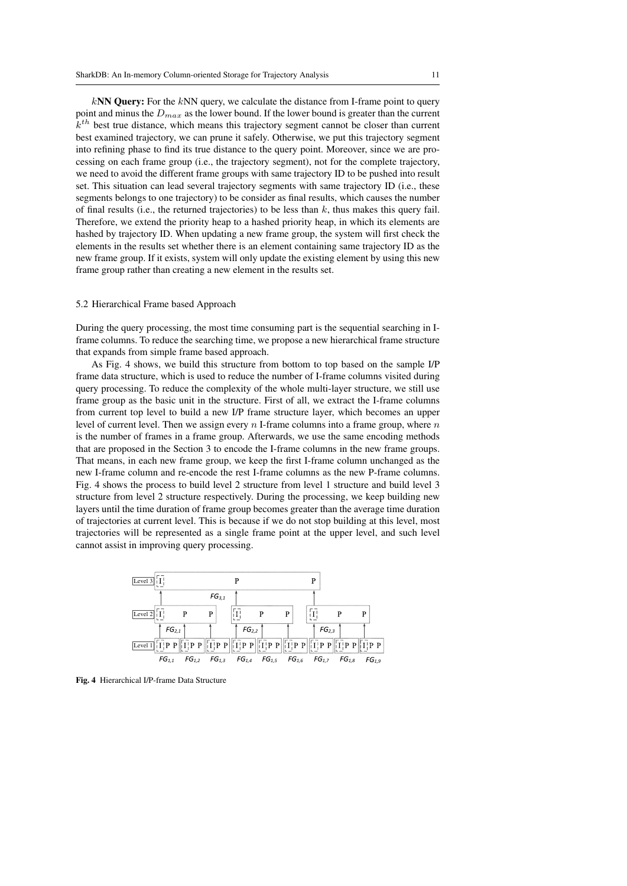$kNN$  Query: For the  $kNN$  query, we calculate the distance from I-frame point to query point and minus the  $D_{max}$  as the lower bound. If the lower bound is greater than the current  $k<sup>th</sup>$  best true distance, which means this trajectory segment cannot be closer than current best examined trajectory, we can prune it safely. Otherwise, we put this trajectory segment into refining phase to find its true distance to the query point. Moreover, since we are processing on each frame group (i.e., the trajectory segment), not for the complete trajectory, we need to avoid the different frame groups with same trajectory ID to be pushed into result set. This situation can lead several trajectory segments with same trajectory ID (i.e., these segments belongs to one trajectory) to be consider as final results, which causes the number of final results (i.e., the returned trajectories) to be less than  $k$ , thus makes this query fail. Therefore, we extend the priority heap to a hashed priority heap, in which its elements are hashed by trajectory ID. When updating a new frame group, the system will first check the elements in the results set whether there is an element containing same trajectory ID as the new frame group. If it exists, system will only update the existing element by using this new frame group rather than creating a new element in the results set.

#### 5.2 Hierarchical Frame based Approach

During the query processing, the most time consuming part is the sequential searching in Iframe columns. To reduce the searching time, we propose a new hierarchical frame structure that expands from simple frame based approach.

As Fig. 4 shows, we build this structure from bottom to top based on the sample I/P frame data structure, which is used to reduce the number of I-frame columns visited during query processing. To reduce the complexity of the whole multi-layer structure, we still use frame group as the basic unit in the structure. First of all, we extract the I-frame columns from current top level to build a new I/P frame structure layer, which becomes an upper level of current level. Then we assign every  $n$  I-frame columns into a frame group, where  $n$ is the number of frames in a frame group. Afterwards, we use the same encoding methods that are proposed in the Section 3 to encode the I-frame columns in the new frame groups. That means, in each new frame group, we keep the first I-frame column unchanged as the new I-frame column and re-encode the rest I-frame columns as the new P-frame columns. Fig. 4 shows the process to build level 2 structure from level 1 structure and build level 3 structure from level 2 structure respectively. During the processing, we keep building new layers until the time duration of frame group becomes greater than the average time duration of trajectories at current level. This is because if we do not stop building at this level, most trajectories will be represented as a single frame point at the upper level, and such level cannot assist in improving query processing.



Fig. 4 Hierarchical I/P-frame Data Structure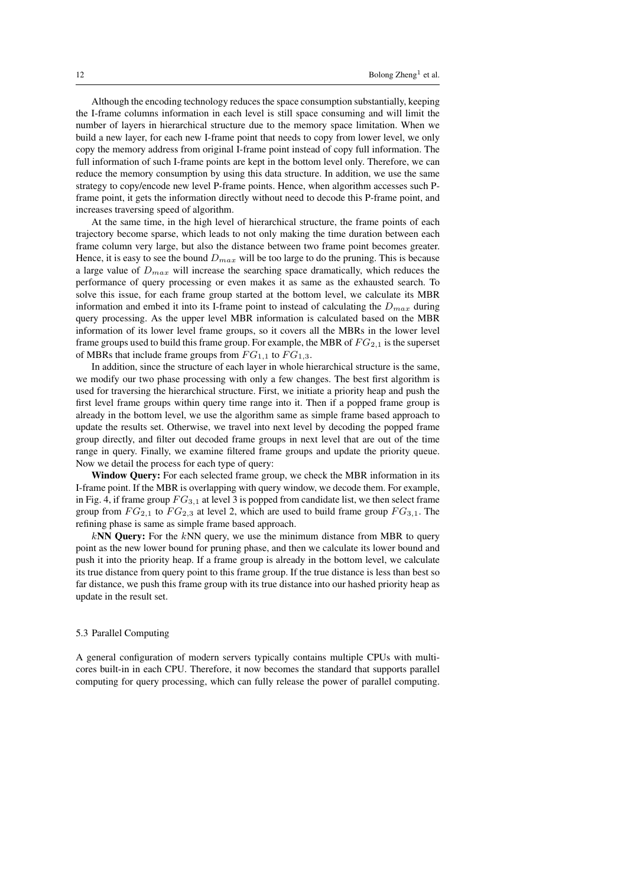Although the encoding technology reduces the space consumption substantially, keeping the I-frame columns information in each level is still space consuming and will limit the number of layers in hierarchical structure due to the memory space limitation. When we build a new layer, for each new I-frame point that needs to copy from lower level, we only copy the memory address from original I-frame point instead of copy full information. The full information of such I-frame points are kept in the bottom level only. Therefore, we can reduce the memory consumption by using this data structure. In addition, we use the same strategy to copy/encode new level P-frame points. Hence, when algorithm accesses such Pframe point, it gets the information directly without need to decode this P-frame point, and increases traversing speed of algorithm.

At the same time, in the high level of hierarchical structure, the frame points of each trajectory become sparse, which leads to not only making the time duration between each frame column very large, but also the distance between two frame point becomes greater. Hence, it is easy to see the bound  $D_{max}$  will be too large to do the pruning. This is because a large value of  $D_{max}$  will increase the searching space dramatically, which reduces the performance of query processing or even makes it as same as the exhausted search. To solve this issue, for each frame group started at the bottom level, we calculate its MBR information and embed it into its I-frame point to instead of calculating the  $D_{max}$  during query processing. As the upper level MBR information is calculated based on the MBR information of its lower level frame groups, so it covers all the MBRs in the lower level frame groups used to build this frame group. For example, the MBR of  $FG_{2,1}$  is the superset of MBRs that include frame groups from  $FG_{1,1}$  to  $FG_{1,3}$ .

In addition, since the structure of each layer in whole hierarchical structure is the same, we modify our two phase processing with only a few changes. The best first algorithm is used for traversing the hierarchical structure. First, we initiate a priority heap and push the first level frame groups within query time range into it. Then if a popped frame group is already in the bottom level, we use the algorithm same as simple frame based approach to update the results set. Otherwise, we travel into next level by decoding the popped frame group directly, and filter out decoded frame groups in next level that are out of the time range in query. Finally, we examine filtered frame groups and update the priority queue. Now we detail the process for each type of query:

Window Query: For each selected frame group, we check the MBR information in its I-frame point. If the MBR is overlapping with query window, we decode them. For example, in Fig. 4, if frame group  $FG_{3,1}$  at level 3 is popped from candidate list, we then select frame group from  $FG_{2,1}$  to  $FG_{2,3}$  at level 2, which are used to build frame group  $FG_{3,1}$ . The refining phase is same as simple frame based approach.

 $kNN$  Query: For the  $kNN$  query, we use the minimum distance from MBR to query point as the new lower bound for pruning phase, and then we calculate its lower bound and push it into the priority heap. If a frame group is already in the bottom level, we calculate its true distance from query point to this frame group. If the true distance is less than best so far distance, we push this frame group with its true distance into our hashed priority heap as update in the result set.

#### 5.3 Parallel Computing

A general configuration of modern servers typically contains multiple CPUs with multicores built-in in each CPU. Therefore, it now becomes the standard that supports parallel computing for query processing, which can fully release the power of parallel computing.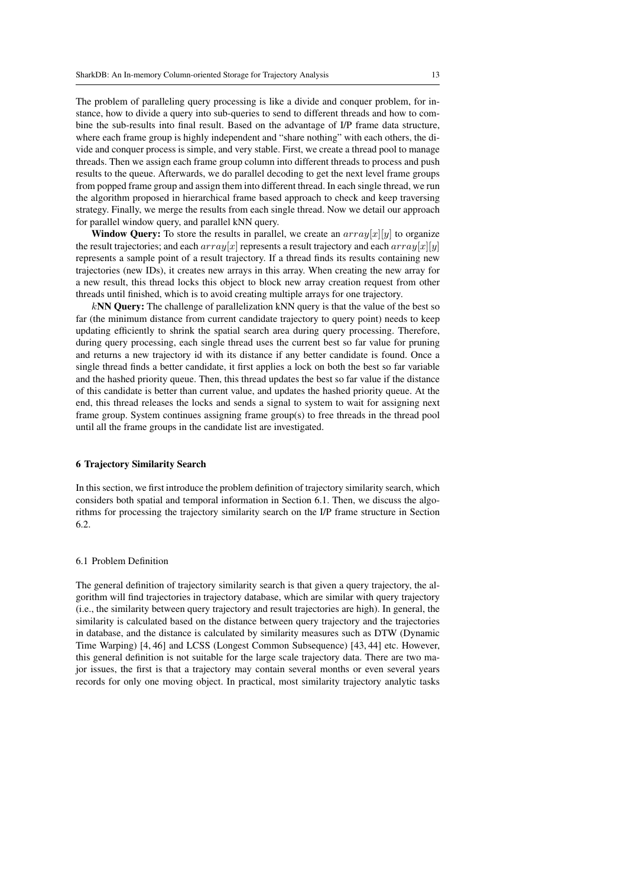The problem of paralleling query processing is like a divide and conquer problem, for instance, how to divide a query into sub-queries to send to different threads and how to combine the sub-results into final result. Based on the advantage of I/P frame data structure, where each frame group is highly independent and "share nothing" with each others, the divide and conquer process is simple, and very stable. First, we create a thread pool to manage threads. Then we assign each frame group column into different threads to process and push results to the queue. Afterwards, we do parallel decoding to get the next level frame groups from popped frame group and assign them into different thread. In each single thread, we run the algorithm proposed in hierarchical frame based approach to check and keep traversing strategy. Finally, we merge the results from each single thread. Now we detail our approach for parallel window query, and parallel kNN query.

**Window Query:** To store the results in parallel, we create an  $array[x][y]$  to organize the result trajectories; and each  $array[x]$  represents a result trajectory and each  $array[x][y]$ represents a sample point of a result trajectory. If a thread finds its results containing new trajectories (new IDs), it creates new arrays in this array. When creating the new array for a new result, this thread locks this object to block new array creation request from other threads until finished, which is to avoid creating multiple arrays for one trajectory.

kNN Query: The challenge of parallelization kNN query is that the value of the best so far (the minimum distance from current candidate trajectory to query point) needs to keep updating efficiently to shrink the spatial search area during query processing. Therefore, during query processing, each single thread uses the current best so far value for pruning and returns a new trajectory id with its distance if any better candidate is found. Once a single thread finds a better candidate, it first applies a lock on both the best so far variable and the hashed priority queue. Then, this thread updates the best so far value if the distance of this candidate is better than current value, and updates the hashed priority queue. At the end, this thread releases the locks and sends a signal to system to wait for assigning next frame group. System continues assigning frame group(s) to free threads in the thread pool until all the frame groups in the candidate list are investigated.

#### 6 Trajectory Similarity Search

In this section, we first introduce the problem definition of trajectory similarity search, which considers both spatial and temporal information in Section 6.1. Then, we discuss the algorithms for processing the trajectory similarity search on the I/P frame structure in Section 6.2.

### 6.1 Problem Definition

The general definition of trajectory similarity search is that given a query trajectory, the algorithm will find trajectories in trajectory database, which are similar with query trajectory (i.e., the similarity between query trajectory and result trajectories are high). In general, the similarity is calculated based on the distance between query trajectory and the trajectories in database, and the distance is calculated by similarity measures such as DTW (Dynamic Time Warping) [4, 46] and LCSS (Longest Common Subsequence) [43, 44] etc. However, this general definition is not suitable for the large scale trajectory data. There are two major issues, the first is that a trajectory may contain several months or even several years records for only one moving object. In practical, most similarity trajectory analytic tasks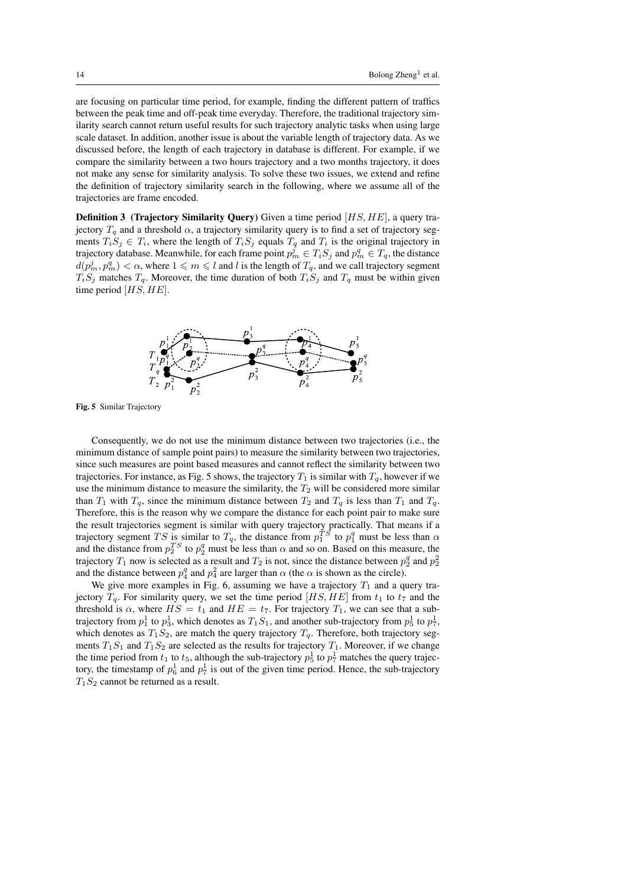are focusing on particular time period, for example, finding the different pattern of traffics between the peak time and off-peak time everyday. Therefore, the traditional trajectory similarity search cannot return useful results for such trajectory analytic tasks when using large scale dataset. In addition, another issue is about the variable length of trajectory data. As we discussed before, the length of each trajectory in database is different. For example, if we compare the similarity between a two hours trajectory and a two months trajectory, it does not make any sense for similarity analysis. To solve these two issues, we extend and refine the definition of trajectory similarity search in the following, where we assume all of the trajectories are frame encoded.

**Definition 3** (Trajectory Similarity Query) Given a time period  $[HS, HE]$ , a query trajectory  $T_q$  and a threshold  $\alpha$ , a trajectory similarity query is to find a set of trajectory segments  $T_iS_j \in T_i$ , where the length of  $T_iS_j$  equals  $T_q$  and  $T_i$  is the original trajectory in trajectory database. Meanwhile, for each frame point  $p_m^j \in T_iS_j$  and  $p_m^q \in T_q$ , the distance  $d(p_m^j, p_m^q) < \alpha$ , where  $1 \leq m \leq l$  and l is the length of  $T_q$ , and we call trajectory segment  $T_iS_j$  matches  $T_q$ . Moreover, the time duration of both  $T_iS_j$  and  $T_q$  must be within given time period  $[HS, HE]$ .



Fig. 5 Similar Trajectory

Consequently, we do not use the minimum distance between two trajectories (i.e., the minimum distance of sample point pairs) to measure the similarity between two trajectories, since such measures are point based measures and cannot reflect the similarity between two trajectories. For instance, as Fig. 5 shows, the trajectory  $T_1$  is similar with  $T_q$ , however if we use the minimum distance to measure the similarity, the  $T_2$  will be considered more similar than  $T_1$  with  $T_q$ , since the minimum distance between  $T_2$  and  $T_q$  is less than  $T_1$  and  $T_q$ . Therefore, this is the reason why we compare the distance for each point pair to make sure the result trajectories segment is similar with query trajectory practically. That means if a trajectory segment TS is similar to  $T_q$ , the distance from  $p_1^{\text{TS}}$  to  $p_1^q$  must be less than  $\alpha$ and the distance from  $p_2^{TS}$  to  $p_2^q$  must be less than  $\alpha$  and so on. Based on this measure, the trajectory  $T_1$  now is selected as a result and  $T_2$  is not, since the distance between  $p_2^q$  and  $p_2^2$ and the distance between  $p_4^q$  and  $p_4^2$  are larger than  $\alpha$  (the  $\alpha$  is shown as the circle).

We give more examples in Fig. 6, assuming we have a trajectory  $T_1$  and a query trajectory  $T_q$ . For similarity query, we set the time period [HS, HE] from  $t_1$  to  $t_7$  and the threshold is  $\alpha$ , where  $HS = t_1$  and  $HE = t_7$ . For trajectory  $T_1$ , we can see that a subtrajectory from  $p_1^1$  to  $p_3^1$ , which denotes as  $T_1S_1$ , and another sub-trajectory from  $p_5^1$  to  $p_7^1$ , which denotes as  $T_1S_2$ , are match the query trajectory  $T_q$ . Therefore, both trajectory segments  $T_1S_1$  and  $T_1S_2$  are selected as the results for trajectory  $T_1$ . Moreover, if we change the time period from  $t_1$  to  $t_5$ , although the sub-trajectory  $p_5^1$  to  $p_7^1$  matches the query trajectory, the timestamp of  $p_6^1$  and  $p_7^1$  is out of the given time period. Hence, the sub-trajectory  $T_1S_2$  cannot be returned as a result.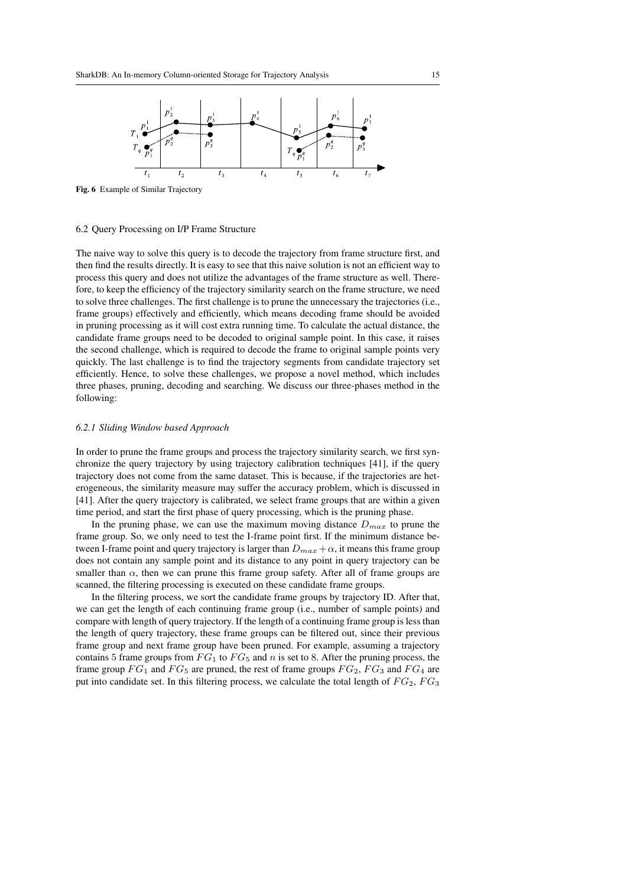

Fig. 6 Example of Similar Trajectory

### 6.2 Query Processing on I/P Frame Structure

The naive way to solve this query is to decode the trajectory from frame structure first, and then find the results directly. It is easy to see that this naive solution is not an efficient way to process this query and does not utilize the advantages of the frame structure as well. Therefore, to keep the efficiency of the trajectory similarity search on the frame structure, we need to solve three challenges. The first challenge is to prune the unnecessary the trajectories (i.e., frame groups) effectively and efficiently, which means decoding frame should be avoided in pruning processing as it will cost extra running time. To calculate the actual distance, the candidate frame groups need to be decoded to original sample point. In this case, it raises the second challenge, which is required to decode the frame to original sample points very quickly. The last challenge is to find the trajectory segments from candidate trajectory set efficiently. Hence, to solve these challenges, we propose a novel method, which includes three phases, pruning, decoding and searching. We discuss our three-phases method in the following:

#### *6.2.1 Sliding Window based Approach*

In order to prune the frame groups and process the trajectory similarity search, we first synchronize the query trajectory by using trajectory calibration techniques [41], if the query trajectory does not come from the same dataset. This is because, if the trajectories are heterogeneous, the similarity measure may suffer the accuracy problem, which is discussed in [41]. After the query trajectory is calibrated, we select frame groups that are within a given time period, and start the first phase of query processing, which is the pruning phase.

In the pruning phase, we can use the maximum moving distance  $D_{max}$  to prune the frame group. So, we only need to test the I-frame point first. If the minimum distance between I-frame point and query trajectory is larger than  $D_{max} + \alpha$ , it means this frame group does not contain any sample point and its distance to any point in query trajectory can be smaller than  $\alpha$ , then we can prune this frame group safety. After all of frame groups are scanned, the filtering processing is executed on these candidate frame groups.

In the filtering process, we sort the candidate frame groups by trajectory ID. After that, we can get the length of each continuing frame group (i.e., number of sample points) and compare with length of query trajectory. If the length of a continuing frame group is less than the length of query trajectory, these frame groups can be filtered out, since their previous frame group and next frame group have been pruned. For example, assuming a trajectory contains 5 frame groups from  $FG_1$  to  $FG_5$  and n is set to 8. After the pruning process, the frame group  $FG_1$  and  $FG_5$  are pruned, the rest of frame groups  $FG_2$ ,  $FG_3$  and  $FG_4$  are put into candidate set. In this filtering process, we calculate the total length of  $FG_2$ ,  $FG_3$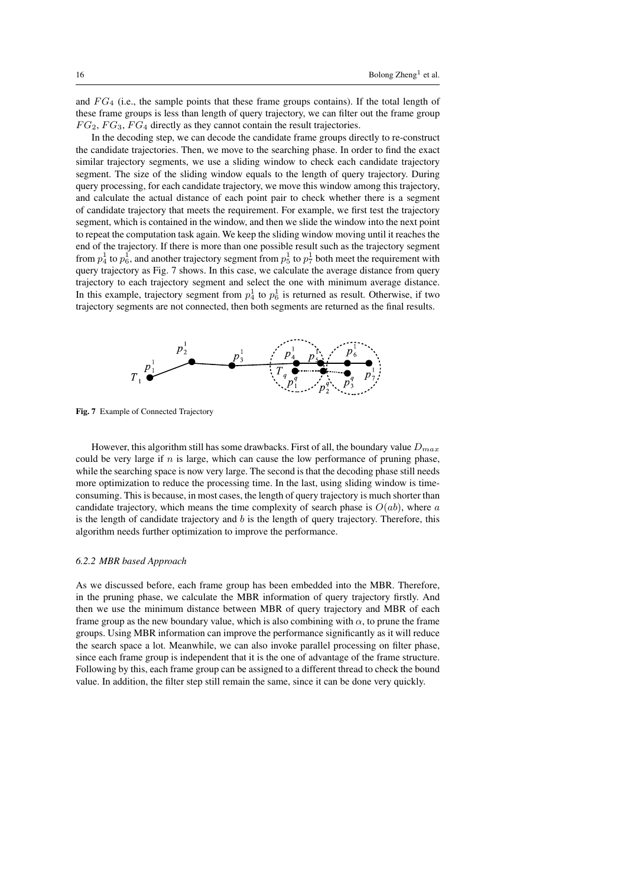and  $FG_4$  (i.e., the sample points that these frame groups contains). If the total length of these frame groups is less than length of query trajectory, we can filter out the frame group  $FG_2, FG_3, FG_4$  directly as they cannot contain the result trajectories.

In the decoding step, we can decode the candidate frame groups directly to re-construct the candidate trajectories. Then, we move to the searching phase. In order to find the exact similar trajectory segments, we use a sliding window to check each candidate trajectory segment. The size of the sliding window equals to the length of query trajectory. During query processing, for each candidate trajectory, we move this window among this trajectory, and calculate the actual distance of each point pair to check whether there is a segment of candidate trajectory that meets the requirement. For example, we first test the trajectory segment, which is contained in the window, and then we slide the window into the next point to repeat the computation task again. We keep the sliding window moving until it reaches the end of the trajectory. If there is more than one possible result such as the trajectory segment from  $p_4^1$  to  $p_6^1$ , and another trajectory segment from  $p_5^1$  to  $p_7^1$  both meet the requirement with query trajectory as Fig. 7 shows. In this case, we calculate the average distance from query trajectory to each trajectory segment and select the one with minimum average distance. In this example, trajectory segment from  $p_4^1$  to  $p_6^1$  is returned as result. Otherwise, if two trajectory segments are not connected, then both segments are returned as the final results.



Fig. 7 Example of Connected Trajectory

However, this algorithm still has some drawbacks. First of all, the boundary value  $D_{max}$ could be very large if  $n$  is large, which can cause the low performance of pruning phase, while the searching space is now very large. The second is that the decoding phase still needs more optimization to reduce the processing time. In the last, using sliding window is timeconsuming. This is because, in most cases, the length of query trajectory is much shorter than candidate trajectory, which means the time complexity of search phase is  $O(ab)$ , where a is the length of candidate trajectory and  $b$  is the length of query trajectory. Therefore, this algorithm needs further optimization to improve the performance.

### *6.2.2 MBR based Approach*

As we discussed before, each frame group has been embedded into the MBR. Therefore, in the pruning phase, we calculate the MBR information of query trajectory firstly. And then we use the minimum distance between MBR of query trajectory and MBR of each frame group as the new boundary value, which is also combining with  $\alpha$ , to prune the frame groups. Using MBR information can improve the performance significantly as it will reduce the search space a lot. Meanwhile, we can also invoke parallel processing on filter phase, since each frame group is independent that it is the one of advantage of the frame structure. Following by this, each frame group can be assigned to a different thread to check the bound value. In addition, the filter step still remain the same, since it can be done very quickly.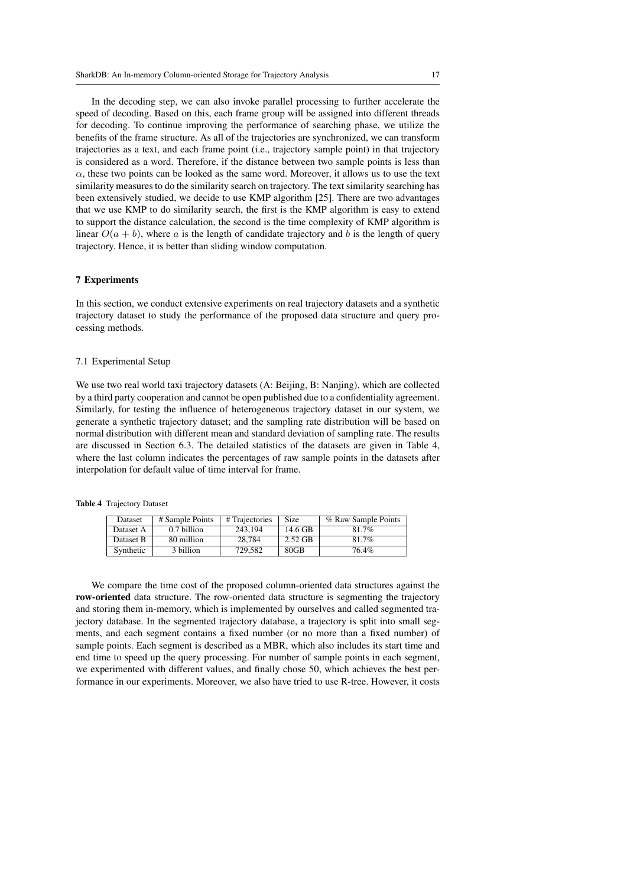In the decoding step, we can also invoke parallel processing to further accelerate the speed of decoding. Based on this, each frame group will be assigned into different threads for decoding. To continue improving the performance of searching phase, we utilize the benefits of the frame structure. As all of the trajectories are synchronized, we can transform trajectories as a text, and each frame point (i.e., trajectory sample point) in that trajectory is considered as a word. Therefore, if the distance between two sample points is less than  $\alpha$ , these two points can be looked as the same word. Moreover, it allows us to use the text similarity measures to do the similarity search on trajectory. The text similarity searching has been extensively studied, we decide to use KMP algorithm [25]. There are two advantages that we use KMP to do similarity search, the first is the KMP algorithm is easy to extend to support the distance calculation, the second is the time complexity of KMP algorithm is linear  $O(a + b)$ , where a is the length of candidate trajectory and b is the length of query trajectory. Hence, it is better than sliding window computation.

#### 7 Experiments

In this section, we conduct extensive experiments on real trajectory datasets and a synthetic trajectory dataset to study the performance of the proposed data structure and query processing methods.

### 7.1 Experimental Setup

We use two real world taxi trajectory datasets (A: Beijing, B: Nanjing), which are collected by a third party cooperation and cannot be open published due to a confidentiality agreement. Similarly, for testing the influence of heterogeneous trajectory dataset in our system, we generate a synthetic trajectory dataset; and the sampling rate distribution will be based on normal distribution with different mean and standard deviation of sampling rate. The results are discussed in Section 6.3. The detailed statistics of the datasets are given in Table 4, where the last column indicates the percentages of raw sample points in the datasets after interpolation for default value of time interval for frame.

|  | Table 4 Trajectory Dataset |  |
|--|----------------------------|--|
|--|----------------------------|--|

| Dataset   | # Sample Points | # Trajectories | Size      | % Raw Sample Points |
|-----------|-----------------|----------------|-----------|---------------------|
| Dataset A | 0.7 billion     | 243.194        | 14.6 GB   | 81.7%               |
| Dataset B | 80 million      | 28,784         | $2.52$ GB | 81.7%               |
| Synthetic | 3 billion       | 729.582        | 80GB      | 76.4%               |

We compare the time cost of the proposed column-oriented data structures against the row-oriented data structure. The row-oriented data structure is segmenting the trajectory and storing them in-memory, which is implemented by ourselves and called segmented trajectory database. In the segmented trajectory database, a trajectory is split into small segments, and each segment contains a fixed number (or no more than a fixed number) of sample points. Each segment is described as a MBR, which also includes its start time and end time to speed up the query processing. For number of sample points in each segment, we experimented with different values, and finally chose 50, which achieves the best performance in our experiments. Moreover, we also have tried to use R-tree. However, it costs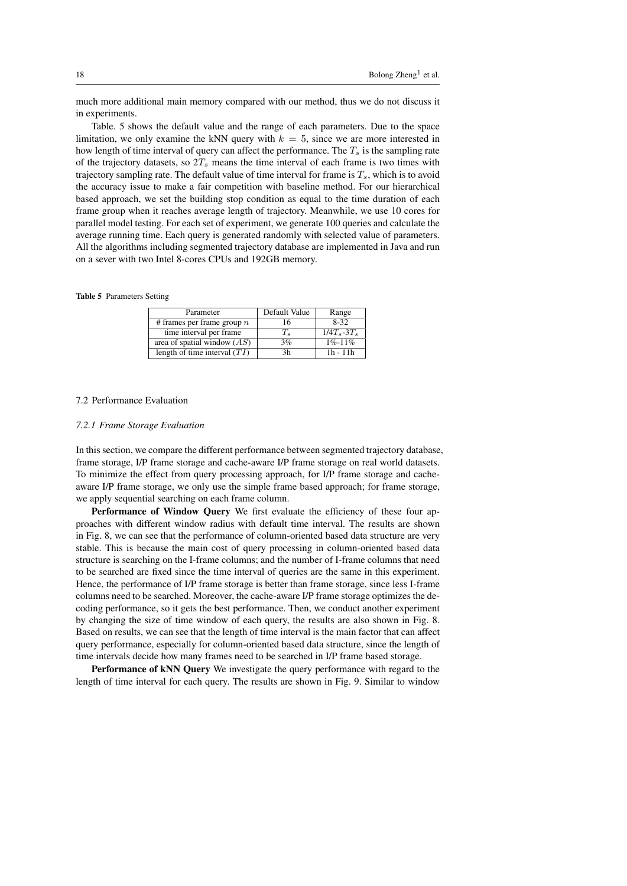much more additional main memory compared with our method, thus we do not discuss it in experiments.

Table. 5 shows the default value and the range of each parameters. Due to the space limitation, we only examine the kNN query with  $k = 5$ , since we are more interested in how length of time interval of query can affect the performance. The  $T_s$  is the sampling rate of the trajectory datasets, so  $2T_s$  means the time interval of each frame is two times with trajectory sampling rate. The default value of time interval for frame is  $T_s$ , which is to avoid the accuracy issue to make a fair competition with baseline method. For our hierarchical based approach, we set the building stop condition as equal to the time duration of each frame group when it reaches average length of trajectory. Meanwhile, we use 10 cores for parallel model testing. For each set of experiment, we generate 100 queries and calculate the average running time. Each query is generated randomly with selected value of parameters. All the algorithms including segmented trajectory database are implemented in Java and run on a sever with two Intel 8-cores CPUs and 192GB memory.

#### Table 5 Parameters Setting

| Parameter                      | Default Value | Range           |
|--------------------------------|---------------|-----------------|
| # frames per frame group $n$   | 16            | $8 - 32$        |
| time interval per frame        | $T_s$         | $1/4T_s - 3T_s$ |
| area of spatial window $(AS)$  | 3%            | $1\% - 11\%$    |
| length of time interval $(TI)$ | 3h            | $1h - 11h$      |

#### 7.2 Performance Evaluation

#### *7.2.1 Frame Storage Evaluation*

In this section, we compare the different performance between segmented trajectory database, frame storage, I/P frame storage and cache-aware I/P frame storage on real world datasets. To minimize the effect from query processing approach, for I/P frame storage and cacheaware I/P frame storage, we only use the simple frame based approach; for frame storage, we apply sequential searching on each frame column.

Performance of Window Query We first evaluate the efficiency of these four approaches with different window radius with default time interval. The results are shown in Fig. 8, we can see that the performance of column-oriented based data structure are very stable. This is because the main cost of query processing in column-oriented based data structure is searching on the I-frame columns; and the number of I-frame columns that need to be searched are fixed since the time interval of queries are the same in this experiment. Hence, the performance of I/P frame storage is better than frame storage, since less I-frame columns need to be searched. Moreover, the cache-aware I/P frame storage optimizes the decoding performance, so it gets the best performance. Then, we conduct another experiment by changing the size of time window of each query, the results are also shown in Fig. 8. Based on results, we can see that the length of time interval is the main factor that can affect query performance, especially for column-oriented based data structure, since the length of time intervals decide how many frames need to be searched in I/P frame based storage.

Performance of kNN Query We investigate the query performance with regard to the length of time interval for each query. The results are shown in Fig. 9. Similar to window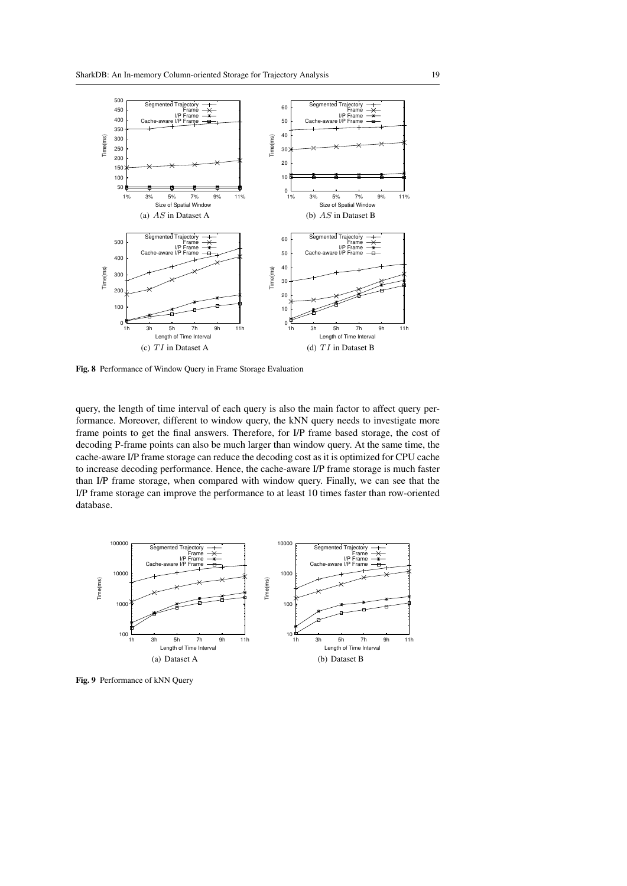

Fig. 8 Performance of Window Query in Frame Storage Evaluation

query, the length of time interval of each query is also the main factor to affect query performance. Moreover, different to window query, the kNN query needs to investigate more frame points to get the final answers. Therefore, for I/P frame based storage, the cost of decoding P-frame points can also be much larger than window query. At the same time, the cache-aware I/P frame storage can reduce the decoding cost as it is optimized for CPU cache to increase decoding performance. Hence, the cache-aware I/P frame storage is much faster than I/P frame storage, when compared with window query. Finally, we can see that the I/P frame storage can improve the performance to at least 10 times faster than row-oriented database.



Fig. 9 Performance of kNN Query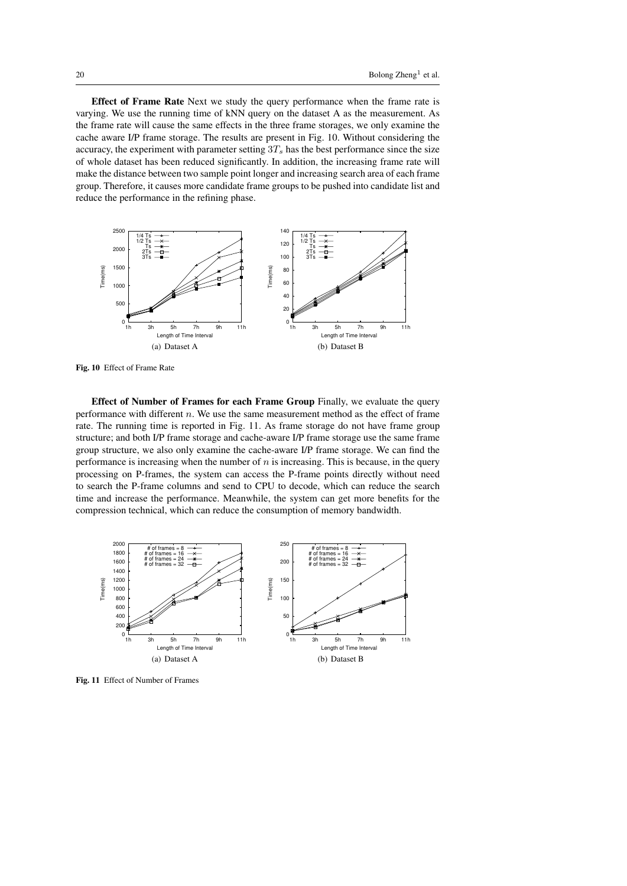Effect of Frame Rate Next we study the query performance when the frame rate is varying. We use the running time of kNN query on the dataset A as the measurement. As the frame rate will cause the same effects in the three frame storages, we only examine the cache aware I/P frame storage. The results are present in Fig. 10. Without considering the accuracy, the experiment with parameter setting  $3T_s$  has the best performance since the size of whole dataset has been reduced significantly. In addition, the increasing frame rate will make the distance between two sample point longer and increasing search area of each frame group. Therefore, it causes more candidate frame groups to be pushed into candidate list and reduce the performance in the refining phase.



Fig. 10 Effect of Frame Rate

Effect of Number of Frames for each Frame Group Finally, we evaluate the query performance with different  $n$ . We use the same measurement method as the effect of frame rate. The running time is reported in Fig. 11. As frame storage do not have frame group structure; and both I/P frame storage and cache-aware I/P frame storage use the same frame group structure, we also only examine the cache-aware I/P frame storage. We can find the performance is increasing when the number of  $n$  is increasing. This is because, in the query processing on P-frames, the system can access the P-frame points directly without need to search the P-frame columns and send to CPU to decode, which can reduce the search time and increase the performance. Meanwhile, the system can get more benefits for the compression technical, which can reduce the consumption of memory bandwidth.



Fig. 11 Effect of Number of Frames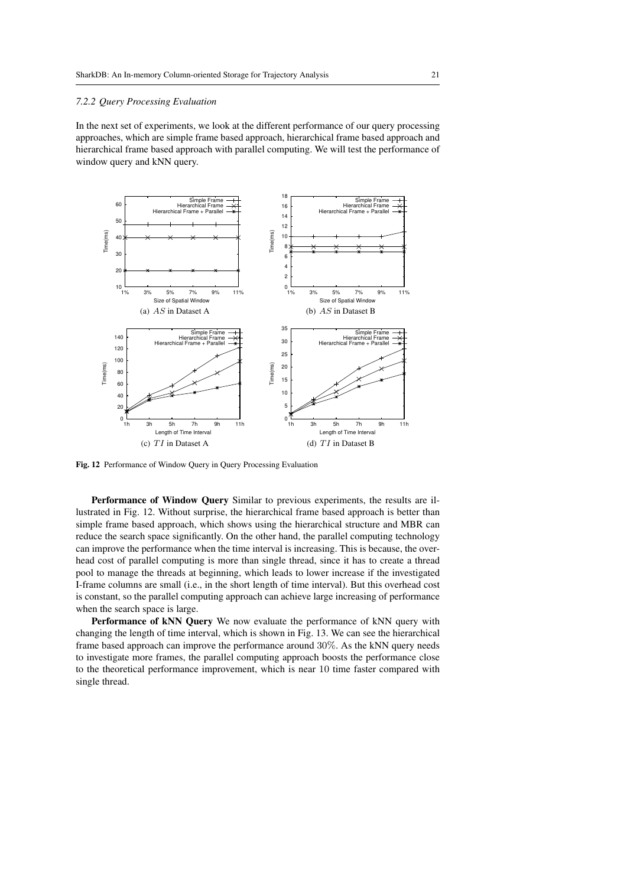#### *7.2.2 Query Processing Evaluation*

In the next set of experiments, we look at the different performance of our query processing approaches, which are simple frame based approach, hierarchical frame based approach and hierarchical frame based approach with parallel computing. We will test the performance of window query and kNN query.



Fig. 12 Performance of Window Query in Query Processing Evaluation

Performance of Window Query Similar to previous experiments, the results are illustrated in Fig. 12. Without surprise, the hierarchical frame based approach is better than simple frame based approach, which shows using the hierarchical structure and MBR can reduce the search space significantly. On the other hand, the parallel computing technology can improve the performance when the time interval is increasing. This is because, the overhead cost of parallel computing is more than single thread, since it has to create a thread pool to manage the threads at beginning, which leads to lower increase if the investigated I-frame columns are small (i.e., in the short length of time interval). But this overhead cost is constant, so the parallel computing approach can achieve large increasing of performance when the search space is large.

Performance of kNN Query We now evaluate the performance of kNN query with changing the length of time interval, which is shown in Fig. 13. We can see the hierarchical frame based approach can improve the performance around 30%. As the kNN query needs to investigate more frames, the parallel computing approach boosts the performance close to the theoretical performance improvement, which is near 10 time faster compared with single thread.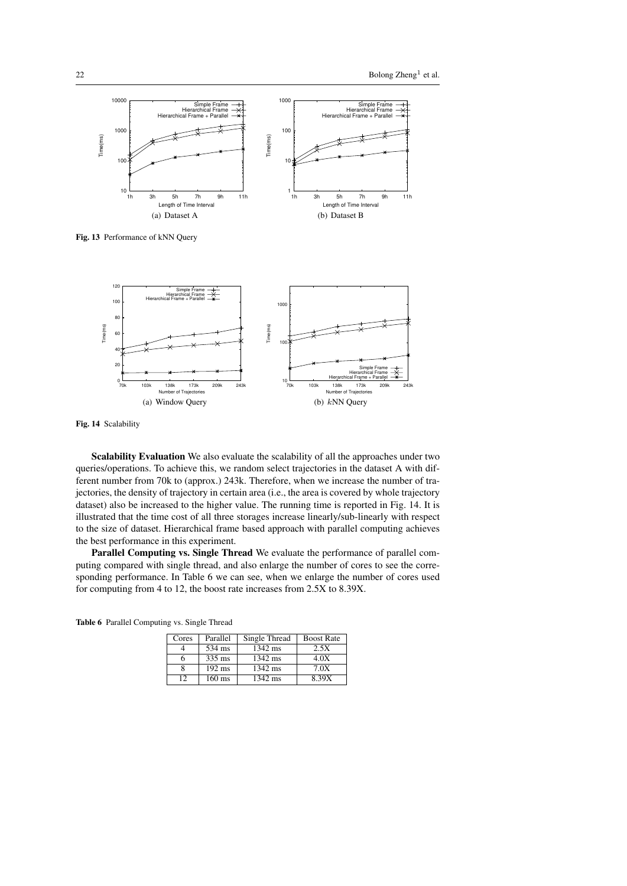

Fig. 13 Performance of kNN Query



Fig. 14 Scalability

Scalability Evaluation We also evaluate the scalability of all the approaches under two queries/operations. To achieve this, we random select trajectories in the dataset A with different number from 70k to (approx.) 243k. Therefore, when we increase the number of trajectories, the density of trajectory in certain area (i.e., the area is covered by whole trajectory dataset) also be increased to the higher value. The running time is reported in Fig. 14. It is illustrated that the time cost of all three storages increase linearly/sub-linearly with respect to the size of dataset. Hierarchical frame based approach with parallel computing achieves the best performance in this experiment.

Parallel Computing vs. Single Thread We evaluate the performance of parallel computing compared with single thread, and also enlarge the number of cores to see the corresponding performance. In Table 6 we can see, when we enlarge the number of cores used for computing from 4 to 12, the boost rate increases from 2.5X to 8.39X.

| Table 6 Parallel Computing vs. Single Thread |  |  |  |  |  |  |
|----------------------------------------------|--|--|--|--|--|--|
|----------------------------------------------|--|--|--|--|--|--|

| Cores          | Parallel         | Single Thread | <b>Boost Rate</b> |
|----------------|------------------|---------------|-------------------|
|                | 534 ms           | $1342$ ms     | 2.5X              |
|                | 335 ms           | $1342$ ms     | 4 OX              |
| 8              | $192 \text{ ms}$ | $1342$ ms     | 7.0X              |
| $\overline{1}$ | $160 \text{ ms}$ | $1342$ ms     | 8.39X             |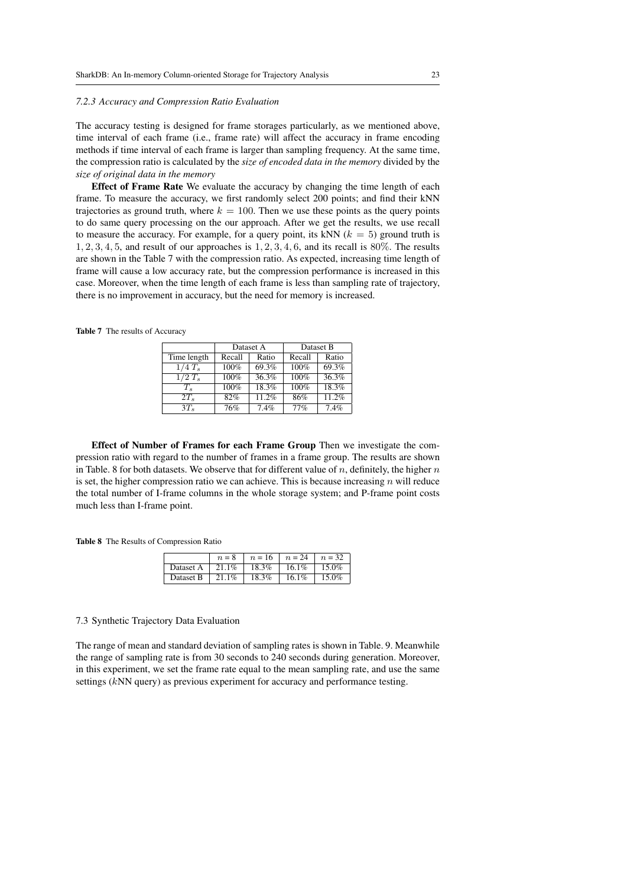#### *7.2.3 Accuracy and Compression Ratio Evaluation*

The accuracy testing is designed for frame storages particularly, as we mentioned above, time interval of each frame (i.e., frame rate) will affect the accuracy in frame encoding methods if time interval of each frame is larger than sampling frequency. At the same time, the compression ratio is calculated by the *size of encoded data in the memory* divided by the *size of original data in the memory*

Effect of Frame Rate We evaluate the accuracy by changing the time length of each frame. To measure the accuracy, we first randomly select 200 points; and find their kNN trajectories as ground truth, where  $k = 100$ . Then we use these points as the query points to do same query processing on the our approach. After we get the results, we use recall to measure the accuracy. For example, for a query point, its kNN ( $k = 5$ ) ground truth is  $1, 2, 3, 4, 5$ , and result of our approaches is  $1, 2, 3, 4, 6$ , and its recall is 80%. The results are shown in the Table 7 with the compression ratio. As expected, increasing time length of frame will cause a low accuracy rate, but the compression performance is increased in this case. Moreover, when the time length of each frame is less than sampling rate of trajectory, there is no improvement in accuracy, but the need for memory is increased.

|                     | Dataset A |       |        | Dataset B           |
|---------------------|-----------|-------|--------|---------------------|
| Time length         | Recall    | Ratio | Recall | Ratio               |
| $\overline{1}/4T_s$ | 100%      | 69.3% | 100%   | 69.3%               |
| $1/2 T_s$           | 100%      | 36.3% | 100%   | $36.\overline{3\%}$ |
| $T_{s}$             | 100%      | 18.3% | 100%   | 18.3%               |
| $2T_{\rm s}$        | 82%       | 11.2% | 86%    | $11.2\%$            |
| $3T_s$              | 76%       | 7.4%  | 77%    | 7.4%                |

Table 7 The results of Accuracy

Effect of Number of Frames for each Frame Group Then we investigate the compression ratio with regard to the number of frames in a frame group. The results are shown in Table. 8 for both datasets. We observe that for different value of n, definitely, the higher  $n$ is set, the higher compression ratio we can achieve. This is because increasing n will reduce the total number of I-frame columns in the whole storage system; and P-frame point costs much less than I-frame point.

Table 8 The Results of Compression Ratio

|           | $n = 8$  | $n=16$ | $n = 24$ | $n=32$ |
|-----------|----------|--------|----------|--------|
| Dataset A | 21.1%    | 18.3%  | $16.1\%$ | 15.0%  |
| Dataset B | $21.1\%$ | 18.3%  | 16.1%    | 15.0%  |

#### 7.3 Synthetic Trajectory Data Evaluation

The range of mean and standard deviation of sampling rates is shown in Table. 9. Meanwhile the range of sampling rate is from 30 seconds to 240 seconds during generation. Moreover, in this experiment, we set the frame rate equal to the mean sampling rate, and use the same settings (kNN query) as previous experiment for accuracy and performance testing.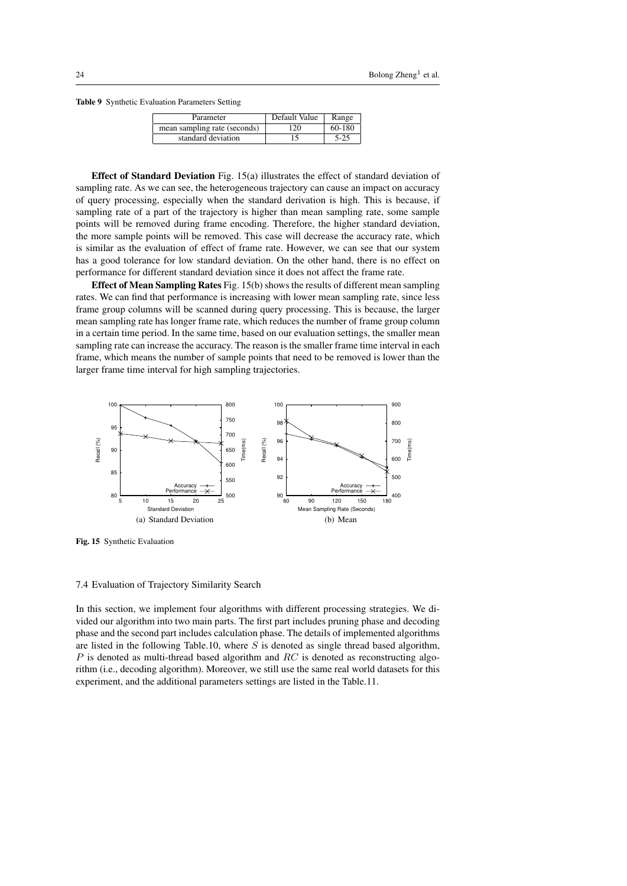Table 9 Synthetic Evaluation Parameters Setting

| Parameter                    | Default Value | Range    |
|------------------------------|---------------|----------|
| mean sampling rate (seconds) | 120           | 60-180   |
| standard deviation           |               | $5 - 25$ |

Effect of Standard Deviation Fig. 15(a) illustrates the effect of standard deviation of sampling rate. As we can see, the heterogeneous trajectory can cause an impact on accuracy of query processing, especially when the standard derivation is high. This is because, if sampling rate of a part of the trajectory is higher than mean sampling rate, some sample points will be removed during frame encoding. Therefore, the higher standard deviation, the more sample points will be removed. This case will decrease the accuracy rate, which is similar as the evaluation of effect of frame rate. However, we can see that our system has a good tolerance for low standard deviation. On the other hand, there is no effect on performance for different standard deviation since it does not affect the frame rate.

Effect of Mean Sampling Rates Fig. 15(b) shows the results of different mean sampling rates. We can find that performance is increasing with lower mean sampling rate, since less frame group columns will be scanned during query processing. This is because, the larger mean sampling rate has longer frame rate, which reduces the number of frame group column in a certain time period. In the same time, based on our evaluation settings, the smaller mean sampling rate can increase the accuracy. The reason is the smaller frame time interval in each frame, which means the number of sample points that need to be removed is lower than the larger frame time interval for high sampling trajectories.



Fig. 15 Synthetic Evaluation

### 7.4 Evaluation of Trajectory Similarity Search

In this section, we implement four algorithms with different processing strategies. We divided our algorithm into two main parts. The first part includes pruning phase and decoding phase and the second part includes calculation phase. The details of implemented algorithms are listed in the following Table.10, where  $S$  is denoted as single thread based algorithm,  $P$  is denoted as multi-thread based algorithm and  $RC$  is denoted as reconstructing algorithm (i.e., decoding algorithm). Moreover, we still use the same real world datasets for this experiment, and the additional parameters settings are listed in the Table.11.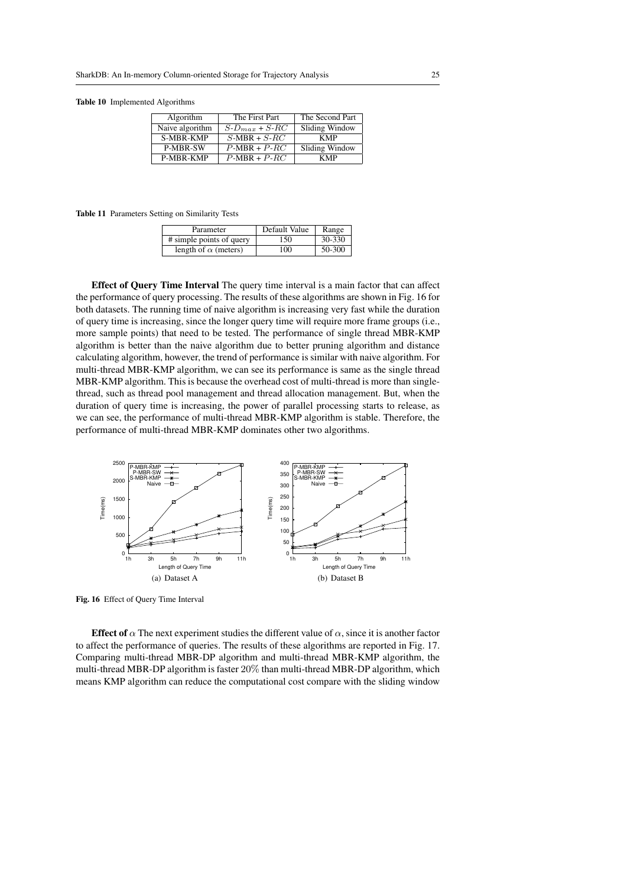Table 10 Implemented Algorithms

| Algorithm       | The First Part               | The Second Part |
|-----------------|------------------------------|-----------------|
| Naive algorithm | $S$ - $D_{max}$ + $S$ - $RC$ | Sliding Window  |
| S-MBR-KMP       | $S-MBR + S-RC$               | <b>KMP</b>      |
| P-MBR-SW        | $P-MBR + P-RC$               | Sliding Window  |
| P-MBR-KMP       | $P-MBR + P-RC$               | <b>KMP</b>      |

Table 11 Parameters Setting on Similarity Tests

| Parameter                   | Default Value | Range  |
|-----------------------------|---------------|--------|
| # simple points of query    | 150           | 30-330 |
| length of $\alpha$ (meters) | 100           | 50-300 |

Effect of Query Time Interval The query time interval is a main factor that can affect the performance of query processing. The results of these algorithms are shown in Fig. 16 for both datasets. The running time of naive algorithm is increasing very fast while the duration of query time is increasing, since the longer query time will require more frame groups (i.e., more sample points) that need to be tested. The performance of single thread MBR-KMP algorithm is better than the naive algorithm due to better pruning algorithm and distance calculating algorithm, however, the trend of performance is similar with naive algorithm. For multi-thread MBR-KMP algorithm, we can see its performance is same as the single thread MBR-KMP algorithm. This is because the overhead cost of multi-thread is more than singlethread, such as thread pool management and thread allocation management. But, when the duration of query time is increasing, the power of parallel processing starts to release, as we can see, the performance of multi-thread MBR-KMP algorithm is stable. Therefore, the performance of multi-thread MBR-KMP dominates other two algorithms.



Fig. 16 Effect of Query Time Interval

Effect of  $\alpha$  The next experiment studies the different value of  $\alpha$ , since it is another factor to affect the performance of queries. The results of these algorithms are reported in Fig. 17. Comparing multi-thread MBR-DP algorithm and multi-thread MBR-KMP algorithm, the multi-thread MBR-DP algorithm is faster 20% than multi-thread MBR-DP algorithm, which means KMP algorithm can reduce the computational cost compare with the sliding window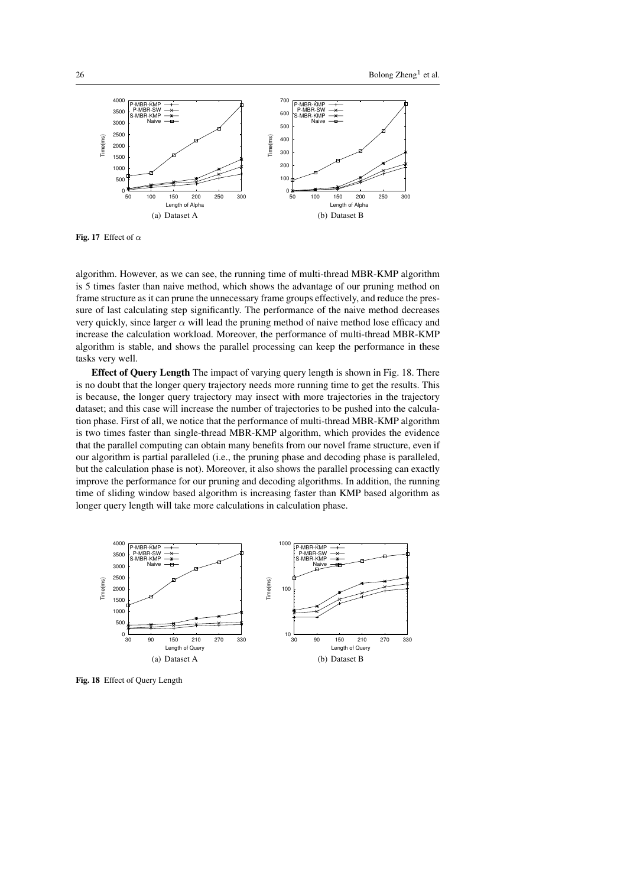

Fig. 17 Effect of  $\alpha$ 

algorithm. However, as we can see, the running time of multi-thread MBR-KMP algorithm is 5 times faster than naive method, which shows the advantage of our pruning method on frame structure as it can prune the unnecessary frame groups effectively, and reduce the pressure of last calculating step significantly. The performance of the naive method decreases very quickly, since larger  $\alpha$  will lead the pruning method of naive method lose efficacy and increase the calculation workload. Moreover, the performance of multi-thread MBR-KMP algorithm is stable, and shows the parallel processing can keep the performance in these tasks very well.

Effect of Query Length The impact of varying query length is shown in Fig. 18. There is no doubt that the longer query trajectory needs more running time to get the results. This is because, the longer query trajectory may insect with more trajectories in the trajectory dataset; and this case will increase the number of trajectories to be pushed into the calculation phase. First of all, we notice that the performance of multi-thread MBR-KMP algorithm is two times faster than single-thread MBR-KMP algorithm, which provides the evidence that the parallel computing can obtain many benefits from our novel frame structure, even if our algorithm is partial paralleled (i.e., the pruning phase and decoding phase is paralleled, but the calculation phase is not). Moreover, it also shows the parallel processing can exactly improve the performance for our pruning and decoding algorithms. In addition, the running time of sliding window based algorithm is increasing faster than KMP based algorithm as longer query length will take more calculations in calculation phase.



Fig. 18 Effect of Query Length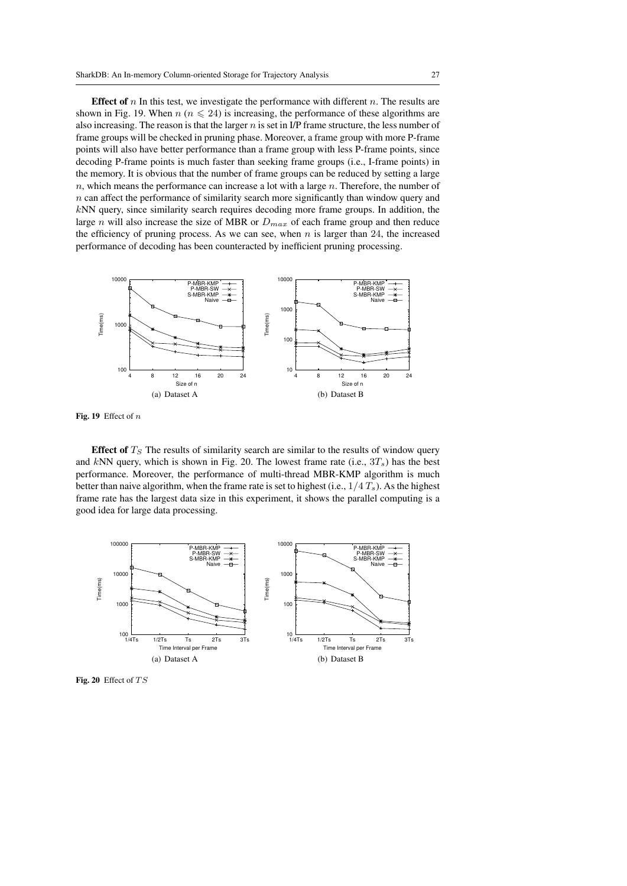Effect of  $n$  In this test, we investigate the performance with different  $n$ . The results are shown in Fig. 19. When  $n (n \leq 24)$  is increasing, the performance of these algorithms are also increasing. The reason is that the larger  $n$  is set in I/P frame structure, the less number of frame groups will be checked in pruning phase. Moreover, a frame group with more P-frame points will also have better performance than a frame group with less P-frame points, since decoding P-frame points is much faster than seeking frame groups (i.e., I-frame points) in the memory. It is obvious that the number of frame groups can be reduced by setting a large  $n$ , which means the performance can increase a lot with a large  $n$ . Therefore, the number of  $n$  can affect the performance of similarity search more significantly than window query and kNN query, since similarity search requires decoding more frame groups. In addition, the large n will also increase the size of MBR or  $D_{max}$  of each frame group and then reduce the efficiency of pruning process. As we can see, when  $n$  is larger than 24, the increased performance of decoding has been counteracted by inefficient pruning processing.



Fig. 19 Effect of  $n$ 

**Effect of**  $T<sub>S</sub>$  The results of similarity search are similar to the results of window query and kNN query, which is shown in Fig. 20. The lowest frame rate (i.e.,  $3T_s$ ) has the best performance. Moreover, the performance of multi-thread MBR-KMP algorithm is much better than naive algorithm, when the frame rate is set to highest (i.e.,  $1/4 T_s$ ). As the highest frame rate has the largest data size in this experiment, it shows the parallel computing is a good idea for large data processing.



Fig. 20 Effect of TS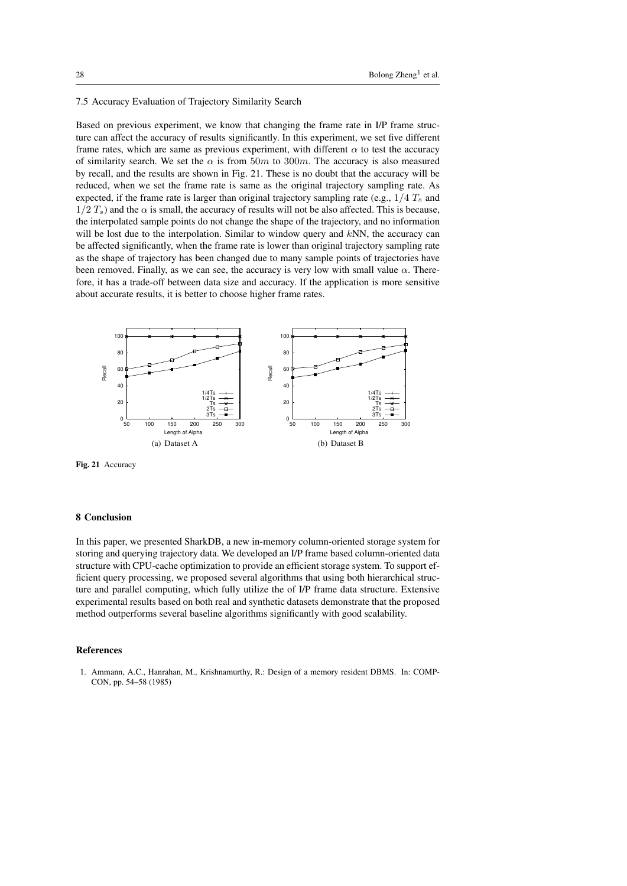### 7.5 Accuracy Evaluation of Trajectory Similarity Search

Based on previous experiment, we know that changing the frame rate in I/P frame structure can affect the accuracy of results significantly. In this experiment, we set five different frame rates, which are same as previous experiment, with different  $\alpha$  to test the accuracy of similarity search. We set the  $\alpha$  is from 50m to 300m. The accuracy is also measured by recall, and the results are shown in Fig. 21. These is no doubt that the accuracy will be reduced, when we set the frame rate is same as the original trajectory sampling rate. As expected, if the frame rate is larger than original trajectory sampling rate (e.g.,  $1/4$  T<sub>s</sub> and  $1/2$  T<sub>s</sub>) and the  $\alpha$  is small, the accuracy of results will not be also affected. This is because, the interpolated sample points do not change the shape of the trajectory, and no information will be lost due to the interpolation. Similar to window query and  $kNN$ , the accuracy can be affected significantly, when the frame rate is lower than original trajectory sampling rate as the shape of trajectory has been changed due to many sample points of trajectories have been removed. Finally, as we can see, the accuracy is very low with small value  $\alpha$ . Therefore, it has a trade-off between data size and accuracy. If the application is more sensitive about accurate results, it is better to choose higher frame rates.



Fig. 21 Accuracy

### 8 Conclusion

In this paper, we presented SharkDB, a new in-memory column-oriented storage system for storing and querying trajectory data. We developed an I/P frame based column-oriented data structure with CPU-cache optimization to provide an efficient storage system. To support efficient query processing, we proposed several algorithms that using both hierarchical structure and parallel computing, which fully utilize the of I/P frame data structure. Extensive experimental results based on both real and synthetic datasets demonstrate that the proposed method outperforms several baseline algorithms significantly with good scalability.

# References

1. Ammann, A.C., Hanrahan, M., Krishnamurthy, R.: Design of a memory resident DBMS. In: COMP-CON, pp. 54–58 (1985)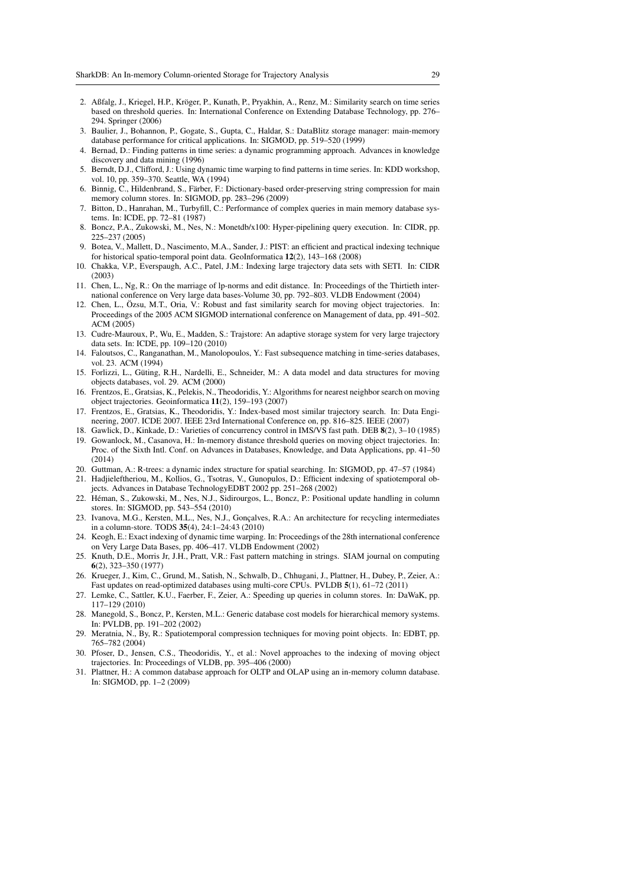- 2. Aßfalg, J., Kriegel, H.P., Kroger, P., Kunath, P., Pryakhin, A., Renz, M.: Similarity search on time series ¨ based on threshold queries. In: International Conference on Extending Database Technology, pp. 276– 294. Springer (2006)
- 3. Baulier, J., Bohannon, P., Gogate, S., Gupta, C., Haldar, S.: DataBlitz storage manager: main-memory database performance for critical applications. In: SIGMOD, pp. 519–520 (1999)
- 4. Bernad, D.: Finding patterns in time series: a dynamic programming approach. Advances in knowledge discovery and data mining (1996)
- 5. Berndt, D.J., Clifford, J.: Using dynamic time warping to find patterns in time series. In: KDD workshop, vol. 10, pp. 359–370. Seattle, WA (1994)
- 6. Binnig, C., Hildenbrand, S., Färber, F.: Dictionary-based order-preserving string compression for main memory column stores. In: SIGMOD, pp. 283–296 (2009)
- 7. Bitton, D., Hanrahan, M., Turbyfill, C.: Performance of complex queries in main memory database systems. In: ICDE, pp. 72–81 (1987)
- 8. Boncz, P.A., Zukowski, M., Nes, N.: Monetdb/x100: Hyper-pipelining query execution. In: CIDR, pp. 225–237 (2005)
- 9. Botea, V., Mallett, D., Nascimento, M.A., Sander, J.: PIST: an efficient and practical indexing technique for historical spatio-temporal point data. GeoInformatica 12(2), 143-168 (2008)
- 10. Chakka, V.P., Everspaugh, A.C., Patel, J.M.: Indexing large trajectory data sets with SETI. In: CIDR (2003)
- 11. Chen, L., Ng, R.: On the marriage of lp-norms and edit distance. In: Proceedings of the Thirtieth international conference on Very large data bases-Volume 30, pp. 792–803. VLDB Endowment (2004)
- 12. Chen, L., Özsu, M.T., Oria, V.: Robust and fast similarity search for moving object trajectories. In: Proceedings of the 2005 ACM SIGMOD international conference on Management of data, pp. 491–502. ACM (2005)
- 13. Cudre-Mauroux, P., Wu, E., Madden, S.: Trajstore: An adaptive storage system for very large trajectory data sets. In: ICDE, pp. 109–120 (2010)
- 14. Faloutsos, C., Ranganathan, M., Manolopoulos, Y.: Fast subsequence matching in time-series databases, vol. 23. ACM (1994)
- 15. Forlizzi, L., Güting, R.H., Nardelli, E., Schneider, M.: A data model and data structures for moving objects databases, vol. 29. ACM (2000)
- 16. Frentzos, E., Gratsias, K., Pelekis, N., Theodoridis, Y.: Algorithms for nearest neighbor search on moving object trajectories. Geoinformatica 11(2), 159–193 (2007)
- 17. Frentzos, E., Gratsias, K., Theodoridis, Y.: Index-based most similar trajectory search. In: Data Engineering, 2007. ICDE 2007. IEEE 23rd International Conference on, pp. 816–825. IEEE (2007)
- 18. Gawlick, D., Kinkade, D.: Varieties of concurrency control in IMS/VS fast path. DEB 8(2), 3–10 (1985)
- 19. Gowanlock, M., Casanova, H.: In-memory distance threshold queries on moving object trajectories. In: Proc. of the Sixth Intl. Conf. on Advances in Databases, Knowledge, and Data Applications, pp. 41–50 (2014)
- 20. Guttman, A.: R-trees: a dynamic index structure for spatial searching. In: SIGMOD, pp. 47–57 (1984)
- 21. Hadjieleftheriou, M., Kollios, G., Tsotras, V., Gunopulos, D.: Efficient indexing of spatiotemporal objects. Advances in Database TechnologyEDBT 2002 pp. 251–268 (2002)
- 22. Heman, S., Zukowski, M., Nes, N.J., Sidirourgos, L., Boncz, P.: Positional update handling in column ´ stores. In: SIGMOD, pp. 543–554 (2010)
- 23. Ivanova, M.G., Kersten, M.L., Nes, N.J., Gonçalves, R.A.: An architecture for recycling intermediates in a column-store. TODS 35(4), 24:1–24:43 (2010)
- 24. Keogh, E.: Exact indexing of dynamic time warping. In: Proceedings of the 28th international conference on Very Large Data Bases, pp. 406–417. VLDB Endowment (2002)
- 25. Knuth, D.E., Morris Jr, J.H., Pratt, V.R.: Fast pattern matching in strings. SIAM journal on computing 6(2), 323–350 (1977)
- 26. Krueger, J., Kim, C., Grund, M., Satish, N., Schwalb, D., Chhugani, J., Plattner, H., Dubey, P., Zeier, A.: Fast updates on read-optimized databases using multi-core CPUs. PVLDB 5(1), 61–72 (2011)
- 27. Lemke, C., Sattler, K.U., Faerber, F., Zeier, A.: Speeding up queries in column stores. In: DaWaK, pp. 117–129 (2010)
- 28. Manegold, S., Boncz, P., Kersten, M.L.: Generic database cost models for hierarchical memory systems. In: PVLDB, pp. 191–202 (2002)
- 29. Meratnia, N., By, R.: Spatiotemporal compression techniques for moving point objects. In: EDBT, pp. 765–782 (2004)
- 30. Pfoser, D., Jensen, C.S., Theodoridis, Y., et al.: Novel approaches to the indexing of moving object trajectories. In: Proceedings of VLDB, pp. 395–406 (2000)
- 31. Plattner, H.: A common database approach for OLTP and OLAP using an in-memory column database. In: SIGMOD, pp. 1–2 (2009)